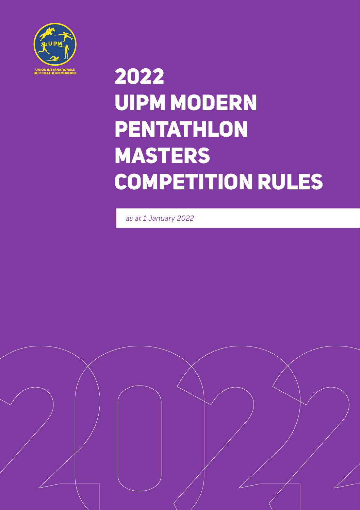

## 2022 UIPM MODERN **PENTATHLON MASTERS** COMPETITION RULES

*as at 1 January 2022*

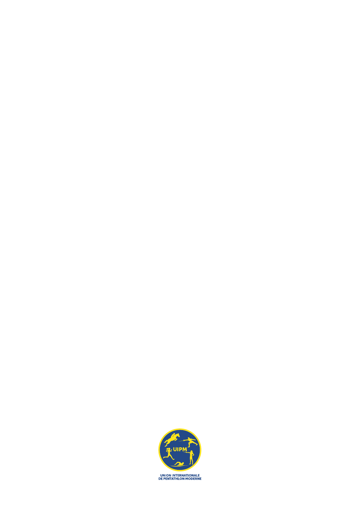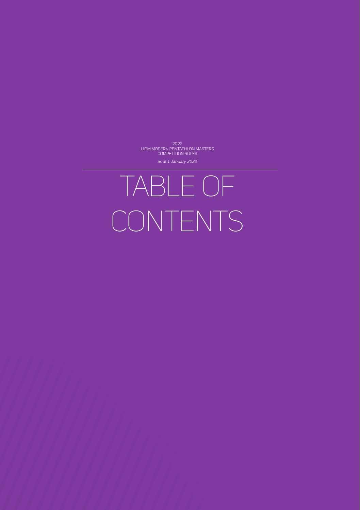2022 UIPM MODERN PENTATHLON MASTERS COMPETITION RULES

# table of CONTENTS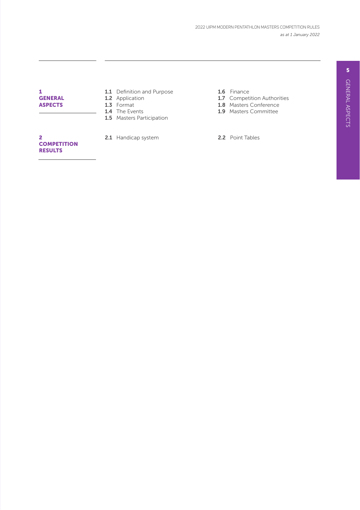## 1 GENERAL ASPECTS

- 1.1 Definition and Purpose 1.2 Application 1.3 Format
- 
- 1.4 The Events
- 
- 1.5 Masters Participation

## 2 **COMPETITION RESULTS**

2.1 Handicap system

- 1.6 Finance 1.7 Competition Authorities 1.8 Masters Conference
- 
- 1.9 Masters Committee

2.2 Point Tables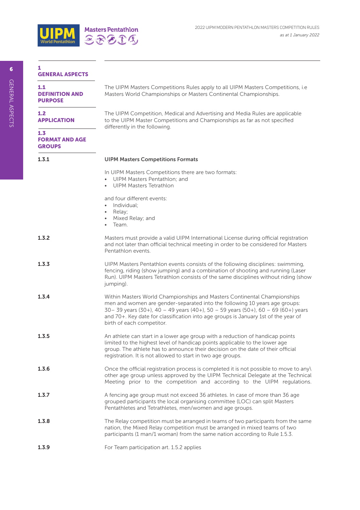

| 1<br><b>GENERAL ASPECTS</b>                    |                                                                                                                                                                                                                                                                                                                                                                 |
|------------------------------------------------|-----------------------------------------------------------------------------------------------------------------------------------------------------------------------------------------------------------------------------------------------------------------------------------------------------------------------------------------------------------------|
| 1.1<br><b>DEFINITION AND</b><br><b>PURPOSE</b> | The UIPM Masters Competitions Rules apply to all UIPM Masters Competitions, i.e.<br>Masters World Championships or Masters Continental Championships.                                                                                                                                                                                                           |
| 1.2 <sub>2</sub><br><b>APPLICATION</b>         | The UIPM Competition, Medical and Advertising and Media Rules are applicable<br>to the UIPM Master Competitions and Championships as far as not specified<br>differently in the following.                                                                                                                                                                      |
| 1.3<br><b>FORMAT AND AGE</b><br><b>GROUPS</b>  |                                                                                                                                                                                                                                                                                                                                                                 |
| 1.3.1                                          | <b>UIPM Masters Competitions Formats</b>                                                                                                                                                                                                                                                                                                                        |
|                                                | In UIPM Masters Competitions there are two formats:<br>UIPM Masters Pentathlon: and<br><b>UIPM Masters Tetrathlon</b>                                                                                                                                                                                                                                           |
|                                                | and four different events:<br>· Individual;<br>· Relay;<br>• Mixed Relay; and<br>Team.                                                                                                                                                                                                                                                                          |
| 1.3.2                                          | Masters must provide a valid UIPM International License during official registration<br>and not later than official technical meeting in order to be considered for Masters<br>Pentathlon events.                                                                                                                                                               |
| 1.3.3                                          | UIPM Masters Pentathlon events consists of the following disciplines: swimming,<br>fencing, riding (show jumping) and a combination of shooting and running (Laser<br>Run). UIPM Masters Tetrathlon consists of the same disciplines without riding (show<br>jumping).                                                                                          |
| 1.3.4                                          | Within Masters World Championships and Masters Continental Championships<br>men and women are gender-separated into the following 10 years age groups:<br>30 - 39 years (30+), 40 - 49 years (40+), 50 - 59 years (50+), 60 - 69 (60+) years<br>and 70+. Key date for classification into age groups is January 1st of the year of<br>birth of each competitor. |
| 1.3.5                                          | An athlete can start in a lower age group with a reduction of handicap points<br>limited to the highest level of handicap points applicable to the lower age<br>group. The athlete has to announce their decision on the date of their official<br>registration. It is not allowed to start in two age groups.                                                  |
| 1.3.6                                          | Once the official registration process is completed it is not possible to move to any)<br>other age group unless approved by the UIPM Technical Delegate at the Technical<br>Meeting prior to the competition and according to the UIPM regulations.                                                                                                            |
| 1.3.7                                          | A fencing age group must not exceed 36 athletes. In case of more than 36 age<br>grouped participants the local organising committee (LOC) can split Masters<br>Pentathletes and Tetrathletes, men/women and age groups.                                                                                                                                         |
| 1.3.8                                          | The Relay competition must be arranged in teams of two participants from the same<br>nation, the Mixed Relay competition must be arranged in mixed teams of two<br>participants (1 man/1 woman) from the same nation according to Rule 1.5.3.                                                                                                                   |
| 1.3.9                                          | For Team participation art. 1.5.2 applies                                                                                                                                                                                                                                                                                                                       |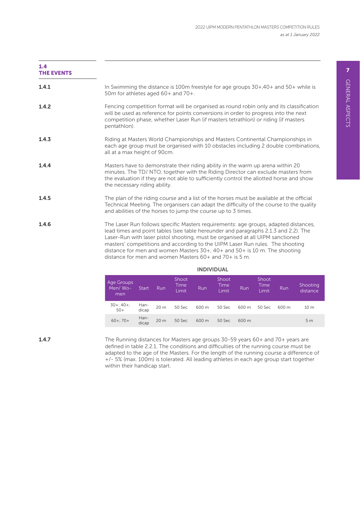| 1.4<br><b>THE EVENTS</b> |                                                                                                                                                                                                                                                                                                                                                                                                                                                                                      | 7                                     |
|--------------------------|--------------------------------------------------------------------------------------------------------------------------------------------------------------------------------------------------------------------------------------------------------------------------------------------------------------------------------------------------------------------------------------------------------------------------------------------------------------------------------------|---------------------------------------|
| 1.4.1                    | In Swimming the distance is 100m freestyle for age groups 30+,40+ and 50+ while is<br>50m for athletes aged 60+ and 70+.                                                                                                                                                                                                                                                                                                                                                             |                                       |
| 1.4.2                    | Fencing competition format will be organised as round robin only and its classification<br>will be used as reference for points conversions in order to progress into the next<br>competition phase, whether Laser Run (if masters tetrathlon) or riding (if masters<br>pentathlon).                                                                                                                                                                                                 | しせいけんさん カリアけい<br>$\frac{1}{\sqrt{2}}$ |
| 1.4.3                    | Riding at Masters World Championships and Masters Continental Championships in<br>each age group must be organised with 10 obstacles including 2 double combinations,<br>all at a max height of 90cm.                                                                                                                                                                                                                                                                                |                                       |
| 1.4.4                    | Masters have to demonstrate their riding ability in the warm up arena within 20<br>minutes. The TD/NTO, together with the Riding Director can exclude masters from<br>the evaluation if they are not able to sufficiently control the allotted horse and show<br>the necessary riding ability.                                                                                                                                                                                       |                                       |
| 1.4.5                    | The plan of the riding course and a list of the horses must be available at the official<br>Technical Meeting. The organisers can adapt the difficulty of the course to the quality<br>and abilities of the horses to jump the course up to 3 times.                                                                                                                                                                                                                                 |                                       |
| 1.4.6                    | The Laser Run follows specific Masters requirements: age groups, adapted distances,<br>lead times and point tables (see table hereunder and paragraphs 2.1.3 and 2.2). The<br>Laser-Run with laser pistol shooting, must be organised at all UIPM sanctioned<br>masters' competitions and according to the UIPM Laser Run rules. The shooting<br>distance for men and women Masters 30+, 40+ and 50+ is 10 m. The shooting<br>distance for men and women Masters 60+ and 70+ is 5 m. |                                       |
|                          | <b>INDIVIDUAL</b>                                                                                                                                                                                                                                                                                                                                                                                                                                                                    |                                       |
|                          | Shoot<br>Shoot<br>Shoot<br>Age Groups<br>Time<br>Time<br>Shooting<br>Time<br>Men/Wo-<br><b>Start</b><br>Run<br>Run<br><b>Run</b><br>Run.<br>Limit<br>Limit<br>Limit<br>distance<br><b>MAAM</b>                                                                                                                                                                                                                                                                                       |                                       |

1.4.7

30+; 40+;  $50+$ 

60+; 70+ Han-

Han-<br>dicap

The Running distances for Masters age groups 30-59 years 60+ and 70+ years are defined in table 2.2.1. The conditions and difficulties of the running course must be adapted to the age of the Masters. For the length of the running course a difference of +/- 5% (max. 100m) is tolerated. All leading athletes in each age group start together within their handicap start.

20 m 50 Sec 600 m 50 Sec 600 m 50 Sec 600 m 10 m

20 m 50 Sec 600 m 50 Sec 600 m 50 m 50 m 5 m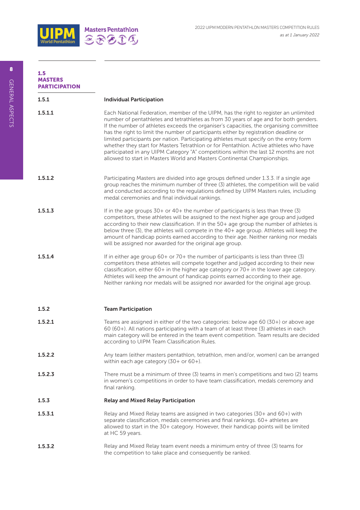

## 1.5 MASTERS **PARTICIPATION**

1.5.1

Individual Participation

- 1.5.1.1 Each National Federation, member of the UIPM, has the right to register an unlimited number of pentathletes and tetrathletes as from 30 years of age and for both genders. If the number of athletes exceeds the organiser's capacities, the organising committee has the right to limit the number of participants either by registration deadline or limited participants per nation. Participating athletes must specify on the entry form whether they start for Masters Tetrathlon or for Pentathlon. Active athletes who have participated in any UIPM Category "A" competitions within the last 12 months are not allowed to start in Masters World and Masters Continental Championships.
- 1.5.1.2 Participating Masters are divided into age groups defined under 1.3.3. If a single age group reaches the minimum number of three (3) athletes, the competition will be valid and conducted according to the regulations defined by UIPM Masters rules, including medal ceremonies and final individual rankings.
- 1.5.1.3 If in the age groups 30+ or 40+ the number of participants is less than three (3) competitors, these athletes will be assigned to the next higher age group and judged according to their new classification. If in the 50+ age group the number of athletes is below three (3), the athletes will compete in the 40+ age group. Athletes will keep the amount of handicap points earned according to their age. Neither ranking nor medals will be assigned nor awarded for the original age group.
- 1.5.1.4 If in either age group 60+ or 70+ the number of participants is less than three (3) competitors these athletes will compete together and judged according to their new classification, either 60+ in the higher age category or 70+ in the lower age category. Athletes will keep the amount of handicap points earned according to their age. Neither ranking nor medals will be assigned nor awarded for the original age group.
- 1.5.2 Team Participation
- 1.5.2.1 Teams are assigned in either of the two categories: below age 60 (30+) or above age 60 (60+). All nations participating with a team of at least three (3) athletes in each main category will be entered in the team event competition. Team results are decided according to UIPM Team Classification Rules.
- 1.5.2.2 Any team (either masters pentathlon, tetrathlon, men and/or, women) can be arranged within each age category (30+ or 60+).
- 1.5.2.3 There must be a minimum of three (3) teams in men's competitions and two (2) teams in women's competitions in order to have team classification, medals ceremony and final ranking.

#### 1.5.3 Relay and Mixed Relay Participation

- 1.5.3.1 Relay and Mixed Relay teams are assigned in two categories (30+ and 60+) with separate classification, medals ceremonies and final rankings. 60+ athletes are allowed to start in the 30+ category. However, their handicap points will be limited at HC 59 years.
- 1.5.3.2 Relay and Mixed Relay team event needs a minimum entry of three (3) teams for the competition to take place and consequently be ranked.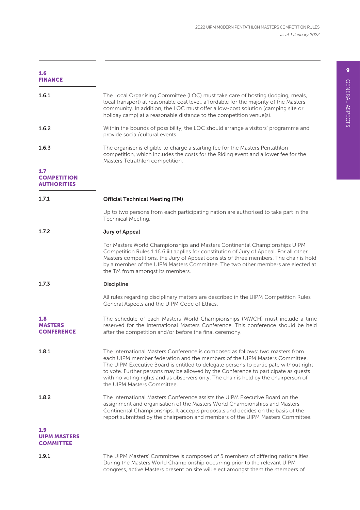| 1.6<br><b>FINANCE</b>                           |                                                                                                                                                                                                                                                                                                                                                                                                                                                                   |                   |
|-------------------------------------------------|-------------------------------------------------------------------------------------------------------------------------------------------------------------------------------------------------------------------------------------------------------------------------------------------------------------------------------------------------------------------------------------------------------------------------------------------------------------------|-------------------|
| 1.6.1                                           | The Local Organising Committee (LOC) must take care of hosting (lodging, meals,<br>local transport) at reasonable cost level, affordable for the majority of the Masters<br>community. In addition, the LOC must offer a low-cost solution (camping site or<br>holiday camp) at a reasonable distance to the competition venue(s).                                                                                                                                | ULINERAL ASPEL IS |
| 1.6.2                                           | Within the bounds of possibility, the LOC should arrange a visitors' programme and<br>provide social/cultural events.                                                                                                                                                                                                                                                                                                                                             |                   |
| 1.6.3                                           | The organiser is eligible to charge a starting fee for the Masters Pentathlon<br>competition, which includes the costs for the Riding event and a lower fee for the<br>Masters Tetrathlon competition.                                                                                                                                                                                                                                                            |                   |
| 1.7<br><b>COMPETITION</b><br><b>AUTHORITIES</b> |                                                                                                                                                                                                                                                                                                                                                                                                                                                                   |                   |
| 1.7.1                                           | <b>Official Technical Meeting (TM)</b>                                                                                                                                                                                                                                                                                                                                                                                                                            |                   |
|                                                 | Up to two persons from each participating nation are authorised to take part in the<br>Technical Meeting.                                                                                                                                                                                                                                                                                                                                                         |                   |
| 1.7.2                                           | Jury of Appeal                                                                                                                                                                                                                                                                                                                                                                                                                                                    |                   |
|                                                 | For Masters World Championships and Masters Continental Championships UIPM<br>Competition Rules 1.16.6 iii) applies for constitution of Jury of Appeal. For all other<br>Masters competitions, the Jury of Appeal consists of three members. The chair is hold<br>by a member of the UIPM Masters Committee. The two other members are elected at<br>the TM from amongst its members.                                                                             |                   |
| 1.7.3                                           | Discipline                                                                                                                                                                                                                                                                                                                                                                                                                                                        |                   |
|                                                 | All rules regarding disciplinary matters are described in the UIPM Competition Rules<br>General Aspects and the UIPM Code of Ethics.                                                                                                                                                                                                                                                                                                                              |                   |
| 1.8<br><b>MASTERS</b><br><b>CONFERENCE</b>      | The schedule of each Masters World Championships (MWCH) must include a time<br>reserved for the International Masters Conference. This conference should be held<br>after the competition and/or before the final ceremony.                                                                                                                                                                                                                                       |                   |
| 1.8.1                                           | The International Masters Conference is composed as follows: two masters from<br>each UIPM member federation and the members of the UIPM Masters Committee.<br>The UIPM Executive Board is entitled to delegate persons to participate without right<br>to vote. Further persons may be allowed by the Conference to participate as quests<br>with no voting rights and as observers only. The chair is held by the chairperson of<br>the UIPM Masters Committee. |                   |
| 1.8.2                                           | The International Masters Conference assists the UIPM Executive Board on the<br>assignment and organisation of the Masters World Championships and Masters<br>Continental Championships. It accepts proposals and decides on the basis of the<br>report submitted by the chairperson and members of the UIPM Masters Committee.                                                                                                                                   |                   |
| 1.9<br><b>UIPM MASTERS</b><br><b>COMMITTEE</b>  |                                                                                                                                                                                                                                                                                                                                                                                                                                                                   |                   |
| 1.9.1                                           | The UIPM Masters' Committee is composed of 5 members of differing nationalities.<br>During the Masters World Championship occurring prior to the relevant UIPM<br>congress, active Masters present on site will elect amongst them the members of                                                                                                                                                                                                                 |                   |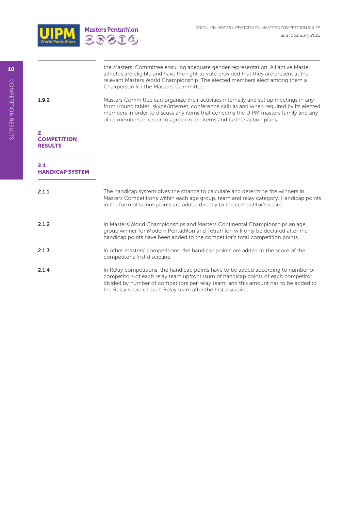

the Masters' Committee ensuring adequate gender representation. All active Master athletes are eligible and have the right to vote provided that they are present at the relevant Masters World Championship. The elected members elect among them a Chairperson for the Masters' Committee.

1.9.2 Masters Committee can organize their activities internally and set up meetings in any form (round tables, skype/internet, conference call) as and when required by its elected members in order to discuss any items that concerns the UIPM masters family and any of its members in order to agree on the items and further action plans.

### 2 **COMPETITION** RESULTS

| 2.1<br><b>HANDICAP SYSTEM</b> |                                                                                                                                                                                                                                                                                                                                  |
|-------------------------------|----------------------------------------------------------------------------------------------------------------------------------------------------------------------------------------------------------------------------------------------------------------------------------------------------------------------------------|
| 2.1.1                         | The handicap system gives the chance to calculate and determine the winners in<br>Masters Competitions within each age group, team and relay category. Handicap points<br>in the form of bonus points are added directly to the competitor's score.                                                                              |
| 2.1.2                         | In Masters World Championships and Masters Continental Championships an age<br>group winner for Modern Pentathlon and Tetrathlon will only be declared after the<br>handicap points have been added to the competitor's total competition points.                                                                                |
| 2.1.3                         | In other masters' competitions, the handicap points are added to the score of the<br>competitor's first discipline.                                                                                                                                                                                                              |
| 2.1.4                         | In Relay competitions, the handicap points have to be added according to number of<br>competitors of each relay team upfront (sum of handicap points of each competitor<br>divided by number of competitors per relay team) and this amount has to be added to<br>the Relay score of each Relay team after the first discipline. |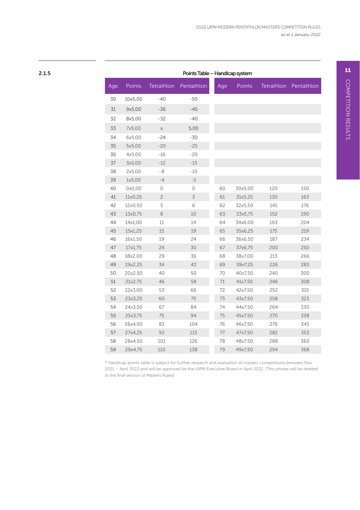|     |         |                | Points Table - Handicap system |     |         |     |                       |
|-----|---------|----------------|--------------------------------|-----|---------|-----|-----------------------|
| Age | Points  | Tetrathlon     | Pentathlon                     | Age | Points  |     | Tetrathlon Pentathlon |
| 30  | 10x5,00 | $-40$          | $-50$                          |     |         |     |                       |
| 31  | 9x5,00  | $-36$          | $-45$                          |     |         |     |                       |
| 32  | 8x5,00  | $-32$          | $-40$                          |     |         |     |                       |
| 33  | 7x5,00  | $\mathsf X$    | 5,00                           |     |         |     |                       |
| 34  | 6x5,00  | $-24$          | $-30$                          |     |         |     |                       |
| 35  | 5x5,00  | $-20$          | $-25$                          |     |         |     |                       |
| 36  | 4x5,00  | $-16$          | $-20$                          |     |         |     |                       |
| 37  | 3x5,00  | $-12$          | $-15$                          |     |         |     |                       |
| 38  | 2x5,00  | $-8$           | $-10$                          |     |         |     |                       |
| 39  | 1x5,00  | $-4$           | $-5$                           |     |         |     |                       |
| 40  | 0x0,00  | 0              | $\mathbb O$                    | 60  | 30x5,00 | 120 | 150                   |
| 41  | 11x0,25 | $\overline{c}$ | $\overline{\mathcal{S}}$       | 61  | 31x5,25 | 130 | 163                   |
| 42  | 12×0,50 | 5              | 6                              | 62  | 32x5,50 | 141 | 176                   |
| 43  | 13x0,75 | $\,$ 8 $\,$    | 10                             | 63  | 33x5,75 | 152 | 190                   |
| 44  | 14x1,00 | $11\,$         | 14                             | 64  | 34x6,00 | 163 | 204                   |
| 45  | 15x1,25 | 15             | 19                             | 65  | 35x6,25 | 175 | 219                   |
| 46  | 16x1,50 | 19             | 24                             | 66  | 36x6,50 | 187 | 234                   |
| 47  | 17x1,75 | 24             | 30                             | 67  | 37x6,75 | 200 | 250                   |
| 48  | 18x2,00 | 29             | 36                             | 68  | 38x7,00 | 213 | 266                   |
| 49  | 19x2,25 | 34             | 43                             | 69  | 39x7,25 | 226 | 283                   |
| 50  | 20x2,50 | 40             | 50                             | 70  | 40x7,50 | 240 | 300                   |
| 51  | 21x2,75 | 46             | 58                             | 71  | 41x7,50 | 246 | 308                   |
| 52  | 22x3,00 | 53             | 66                             | 72  | 42x7,50 | 252 | 315                   |
| 53  | 23x3,25 | 60             | 75                             | 73  | 43x7,50 | 258 | 323                   |
| 54  | 24x3,50 | 67             | 84                             | 74  | 44x7,50 | 264 | 330                   |
| 55  | 25x3,75 | 75             | 94                             | 75  | 45x7,50 | 270 | 338                   |
| 56  | 26x4,00 | 83             | 104                            | 76  | 46x7,50 | 276 | 345                   |
| 57  | 27x4,25 | 92             | 115                            | 77  | 47x7,50 | 282 | 353                   |
| 58  | 28x4,50 | 101            | 126                            | 78  | 48x7,50 | 288 | 360                   |
| 59  | 29x4,75 | 110            | 138                            | 79  | 49x7,50 | 294 | 368                   |

\* Handicap points table is subject for further research and evaluation at masters competitions between Nov 2021 – April 2022 and will be approved be the UIPM Executive Board in April 2022. [This phrase will be deleted in the final version of Masters Rules]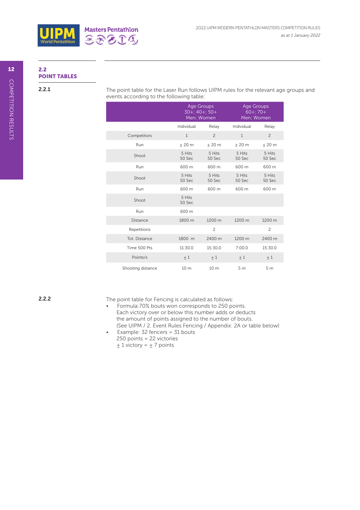

## 2.2 POINT TABLES

## 2.2.1

The point table for the Laser Run follows UIPM rules for the relevant age groups and events according to the following table:

|                   | Age Groups<br>$30+; 40+; 50+$<br>Men; Women |                  | Age Groups<br>$60+70+$<br>Men; Women |                  |  |  |  |
|-------------------|---------------------------------------------|------------------|--------------------------------------|------------------|--|--|--|
|                   | Individual                                  | Relay            | Individual                           | Relay            |  |  |  |
| Competitors       | $\mathbf{1}$                                | $\mathcal{P}$    | $\mathbf{1}$                         | $\overline{c}$   |  |  |  |
| Run               | $+20m$                                      | $+20m$           | $+20m$                               | $+20m$           |  |  |  |
| Shoot             | 5 Hits<br>50 Sec                            | 5 Hits<br>50 Sec | 5 Hits<br>50 Sec                     | 5 Hits<br>50 Sec |  |  |  |
| Run               | 600 m                                       | 600 m            | 600 m                                | 600 m            |  |  |  |
| Shoot             | 5 Hits<br>50 Sec                            | 5 Hits<br>50 Sec | 5 Hits<br>50 Sec                     | 5 Hits<br>50 Sec |  |  |  |
| Run               | 600 m                                       | 600 m            | 600 m                                | 600 m            |  |  |  |
| Shoot             | 5 Hits<br>50 Sec                            |                  |                                      |                  |  |  |  |
| Run               | 600 m                                       |                  |                                      |                  |  |  |  |
| Distance          | 1800 m                                      | 1200 m           | $1200 \text{ m}$                     | 1200 m           |  |  |  |
| Repetitions       |                                             | $\overline{c}$   |                                      | $\overline{c}$   |  |  |  |
| Tot. Distance     | 1800 m                                      | 2400 m           | 1200 m                               | 2400 m           |  |  |  |
| Time 500 Pts      | 11:30.0                                     | 15:30.0          | 7.000                                | 15:30.0          |  |  |  |
| Points/s          | $+1$                                        | $+1$             | $+1$                                 | $+1$             |  |  |  |
| Shooting distance | 10 <sub>m</sub>                             | 10 <sub>m</sub>  | 5 <sub>m</sub>                       | 5 <sub>m</sub>   |  |  |  |

2.2.2

The point table for Fencing is calculated as follows:

- Formula:70% bouts won corresponds to 250 points. Each victory over or below this number adds or deducts the amount of points assigned to the number of bouts. (See UIPM / 2. Event Rules Fencing / Appendix: 2A or table below)
- Example: 32 fencers = 31 bouts 250 points = 22 victories  $+1$  victory =  $+7$  points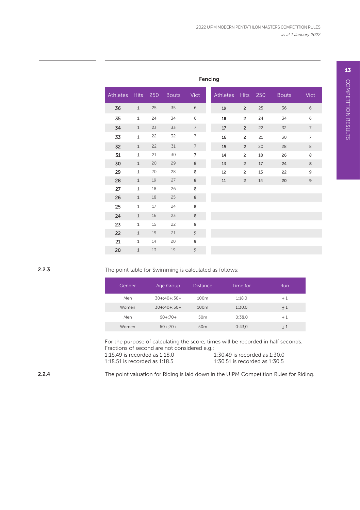|                 | Fencing      |     |              |                          |          |                         |        |              |                |  |  |  |  |  |  |
|-----------------|--------------|-----|--------------|--------------------------|----------|-------------------------|--------|--------------|----------------|--|--|--|--|--|--|
| <b>Athletes</b> | <b>Hits</b>  | 250 | <b>Bouts</b> | <b>Vict</b>              | Athletes | <b>Hits</b>             | 250    | <b>Bouts</b> | Vict           |  |  |  |  |  |  |
| 36              | $\mathbf 1$  | 25  | 35           | 6                        | 19       | $\overline{\mathbf{c}}$ | 25     | 36           | 6              |  |  |  |  |  |  |
| 35              | 1            | 24  | 34           | 6                        | 18       | $\overline{2}$          | 24     | 34           | 6              |  |  |  |  |  |  |
| 34              | $\mathbf 1$  | 23  | 33           | $\overline{\phantom{a}}$ | 17       | $\overline{\mathbf{c}}$ | 22     | 32           | $\overline{7}$ |  |  |  |  |  |  |
| 33              | $\mathbf{1}$ | 22  | 32           | $\overline{7}$           | 16       | 2                       | 21     | 30           | $\overline{7}$ |  |  |  |  |  |  |
| 32              | $\mathbf{1}$ | 22  | 31           | $\overline{\phantom{a}}$ | 15       | $\overline{2}$          | 20     | 28           | $\,8\,$        |  |  |  |  |  |  |
| 31              | 1            | 21  | 30           | $\overline{7}$           | 14       | $\overline{\mathbf{c}}$ | 18     | 26           | 8              |  |  |  |  |  |  |
| 30              | $\mathbf{1}$ | 20  | 29           | 8                        | $13\,$   | $\overline{2}$          | $17\,$ | 24           | 8              |  |  |  |  |  |  |
| 29              | $\mathbf{1}$ | 20  | 28           | 8                        | 12       | $\overline{\mathbf{2}}$ | 15     | 22           | 9              |  |  |  |  |  |  |
| 28              | $\mathbf{1}$ | 19  | 27           | 8                        | $11\,$   | $\overline{2}$          | 14     | 20           | 9              |  |  |  |  |  |  |
| 27              | $\mathbf{1}$ | 18  | 26           | 8                        |          |                         |        |              |                |  |  |  |  |  |  |
| 26              | $\mathbf{1}$ | 18  | 25           | 8                        |          |                         |        |              |                |  |  |  |  |  |  |
| 25              | $\mathbf{1}$ | 17  | 24           | 8                        |          |                         |        |              |                |  |  |  |  |  |  |
| 24              | $\mathbf{1}$ | 16  | 23           | 8                        |          |                         |        |              |                |  |  |  |  |  |  |
| 23              | $\mathbf 1$  | 15  | 22           | 9                        |          |                         |        |              |                |  |  |  |  |  |  |
| 22              | $\mathbf{1}$ | 15  | 21           | $\mathsf{9}$             |          |                         |        |              |                |  |  |  |  |  |  |
| 21              | $\mathbf{1}$ | 14  | 20           | 9                        |          |                         |        |              |                |  |  |  |  |  |  |
| 20              | 1            | 13  | 19           | 9                        |          |                         |        |              |                |  |  |  |  |  |  |

2.2.3

The point table for Swimming is calculated as follows:

| Gender | Age Group        | <b>Distance</b> | Time for | <b>Run</b> |
|--------|------------------|-----------------|----------|------------|
| Men    | $30 + 40 + 50 +$ | 100m            | 1:18.0   | $+1$       |
| Women  | $30 + 40 + 50 +$ | 100m            | 1:30.0   | $+1$       |
| Men    | $60 + 70 +$      | 50m             | 0:38.0   | $+1$       |
| Women  | $60+70+$         | 50m             | 0:43.0   | $+1$       |

For the purpose of calculating the score, times will be recorded in half seconds. Fractions of second are not considered e.g.:<br>1:18.49 is recorded as 1:18.0<br>1:30.49 is recorded as 1:30.0

1:18.49 is recorded as 1:18.0<br>1:18.51 is recorded as 1:18.5  $1:30.51$  is recorded as  $1:30.5$ 

The point valuation for Riding is laid down in the UIPM Competition Rules for Riding.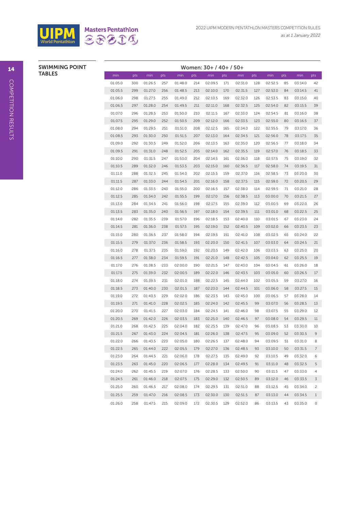

SWIMMING POINT<br>TABLES

| SWIMMING POINT |         |     |         |     |         |     | Women: 30+ / 40+ / 50+ |     |         |     |         |     |         |                |
|----------------|---------|-----|---------|-----|---------|-----|------------------------|-----|---------|-----|---------|-----|---------|----------------|
| TABLES         | min     | pts | min     | pts | min     | pts | min                    | pts | min     | pts | min     | pts | min     | pts            |
|                | 01:05.0 | 300 | 01:26.5 | 257 | 01:48.0 | 214 | 02:09.5                | 171 | 02:31.0 | 128 | 02:52.5 | 85  | 03:14.0 | 42             |
|                | 01:05.5 | 299 | 01:27.0 | 256 | 01:48.5 | 213 | 02:10.0                | 170 | 02:31.5 | 127 | 02:53.0 | 84  | 03:14.5 | 41             |
|                | 01:06.0 | 298 | 01:27.5 | 255 | 01:49.0 | 212 | 02:10.5                | 169 | 02:32.0 | 126 | 02:53.5 | 83  | 03:15.0 | 40             |
|                | 01:06.5 | 297 | 01:28.0 | 254 | 01:49.5 | 211 | 02:11.0                | 168 | 02:32.5 | 125 | 02:54.0 | 82  | 03:15.5 | 39             |
|                | 01:07.0 | 296 | 01:28.5 | 253 | 01:50.0 | 210 | 02:11.5                | 167 | 02:33.0 | 124 | 02:54.5 | 81  | 03:16.0 | 38             |
|                | 01:07.5 | 295 | 01:29.0 | 252 | 01:50.5 | 209 | 02:12.0                | 166 | 02:33.5 | 123 | 02:55.0 | 80  | 03:16.5 | 37             |
|                | 01:08.0 | 294 | 01:29.5 | 251 | 01:51.0 | 208 | 02:12.5                | 165 | 02:34.0 | 122 | 02:55.5 | 79  | 03:17.0 | 36             |
|                | 01:08.5 | 293 | 01:30.0 | 250 | 01:51.5 | 207 | 02:13.0                | 164 | 02:34.5 | 121 | 02:56.0 | 78  | 03:17.5 | 35             |
|                | 01:09.0 | 292 | 01:30.5 | 249 | 01:52.0 | 206 | 02:13.5                | 163 | 02:35.0 | 120 | 02:56.5 | 77  | 03:18.0 | 34             |
|                | 01:09.5 | 291 | 01:31.0 | 248 | 01:52.5 | 205 | 02:14.0                | 162 | 02:35.5 | 119 | 02:57.0 | 76  | 03:18.5 | 33             |
|                | 01:10.0 | 290 | 01:31.5 | 247 | 01:53.0 | 204 | 02:14.5                | 161 | 02:36.0 | 118 | 02:57.5 | 75  | 03:19.0 | 32             |
|                | 01:10.5 | 289 | 01:32.0 | 246 | 01:53.5 | 203 | 02:15.0                | 160 | 02:36.5 | 117 | 02:58.0 | 74  | 03:19.5 | 31             |
|                | 01:11.0 | 288 | 01:32.5 | 245 | 01:54.0 | 202 | 02:15.5                | 159 | 02:37.0 | 116 | 02:58.5 | 73  | 03:20.0 | 30             |
|                | 01:11.5 | 287 | 01:33.0 | 244 | 01:54.5 | 201 | 02:16.0                | 158 | 02:37.5 | 115 | 02:59.0 | 72  | 03:20.5 | 29             |
|                | 01:12.0 | 286 | 01:33.5 | 243 | 01:55.0 | 200 | 02:16.5                | 157 | 02:38.0 | 114 | 02:59.5 | 71  | 03:21.0 | 28             |
|                | 01:12.5 | 285 | 01:34.0 | 242 | 01:55.5 | 199 | 02:17.0                | 156 | 02:38.5 | 113 | 03:00.0 | 70  | 03:21.5 | 27             |
|                | 01:13.0 | 284 | 01:34.5 | 241 | 01:56.0 | 198 | 02:17.5                | 155 | 02:39.0 | 112 | 03:00.5 | 69  | 03:22.0 | 26             |
|                | 01:13.5 | 283 | 01:35.0 | 240 | 01:56.5 | 197 | 02:18.0                | 154 | 02:39.5 | 111 | 03:01.0 | 68  | 03:22.5 | 25             |
|                | 01:14.0 | 282 | 01:35.5 | 239 | 01:57.0 | 196 | 02:18.5                | 153 | 02:40.0 | 110 | 03:01.5 | 67  | 03:23.0 | 24             |
|                | 01:14.5 | 281 | 01:36.0 | 238 | 01:57.5 | 195 | 02:19.0                | 152 | 02:40.5 | 109 | 03:02.0 | 66  | 03:23.5 | 23             |
|                | 01:15.0 | 280 | 01:36.5 | 237 | 01:58.0 | 194 | 02:19.5                | 151 | 02:41.0 | 108 | 03:02.5 | 65  | 03:24.0 | 22             |
|                | 01:15.5 | 279 | 01:37.0 | 236 | 01:58.5 | 193 | 02:20.0                | 150 | 02:41.5 | 107 | 03:03.0 | 64  | 03:24.5 | 21             |
|                | 01:16.0 | 278 | 01:37.5 | 235 | 01:59.0 | 192 | 02:20.5                | 149 | 02:42.0 | 106 | 03:03.5 | 63  | 03:25.0 | 20             |
|                | 01:16.5 | 277 | 01:38.0 | 234 | 01:59.5 | 191 | 02:21.0                | 148 | 02:42.5 | 105 | 03:04.0 | 62  | 03:25.5 | 19             |
|                | 01:17.0 | 276 | 01:38.5 | 233 | 02:00.0 | 190 | 02:21.5                | 147 | 02:43.0 | 104 | 03:04.5 | 61  | 03:26.0 | 18             |
|                | 01:17.5 | 275 | 01:39.0 | 232 | 02:00.5 | 189 | 02:22.0                | 146 | 02:43.5 | 103 | 03:05.0 | 60  | 03:26.5 | 17             |
|                | 01:18.0 | 274 | 01:39.5 | 231 | 02:01.0 | 188 | 02:22.5                | 145 | 02:44.0 | 102 | 03:05.5 | 59  | 03:27.0 | 16             |
|                | 01:18.5 | 273 | 01.400  | 230 | 02:01.5 | 187 | 02:23.0                | 144 | 02:44.5 | 101 | 03:06.0 | 58  | 03:27.5 | 15             |
|                | 01:19.0 | 272 | 01:40.5 | 229 | 02:02.0 | 186 | 02:23.5                | 143 | 02:45.0 | 100 | 03:06.5 | 57  | 03:28.0 | 14             |
|                | 01:19.5 | 271 | 01:41.0 | 228 | 02:02.5 | 185 | 02:24.0                | 142 | 02:45.5 | 99  | 03:07.0 | 56  | 03:28.5 | 13             |
|                | 01:20.0 | 270 | 01:41.5 | 227 | 02:03.0 | 184 | 02:24.5                | 141 | 02:46.0 | 98  | 03:07.5 | 55  | 03:29.0 | 12             |
|                | 01:20.5 | 269 | 01:42.0 | 226 | 02:03.5 | 183 | 02:25.0                | 140 | 02:46.5 | 97  | 03:08.0 | 54  | 03:29.5 | 11             |
|                | 01:21.0 | 268 | 01:42.5 | 225 | 02:04.0 | 182 | 02:25.5                | 139 | 02:47.0 | 96  | 03:08.5 | 53  | 03:30.0 | 10             |
|                | 01:21.5 | 267 | 01:43.0 | 224 | 02:04.5 | 181 | 02:26.0                | 138 | 02:47.5 | 95  | 03:09.0 | 52  | 03:30.5 | $\overline{9}$ |
|                | 01:22.0 | 266 | 01:43.5 | 223 | 02:05.0 | 180 | 02:26.5                | 137 | 02:48.0 | 94  | 03:09.5 | 51  | 03:31.0 | 8              |
|                | 01:22.5 | 265 | 01:44.0 | 222 | 02:05.5 | 179 | 02:27.0                | 136 | 02:48.5 | 93  | 03:10.0 | 50  | 03:31.5 | 7              |
|                | 01:23.0 | 264 | 01:44.5 | 221 | 02:06.0 | 178 | 02:27.5                | 135 | 02:49.0 | 92  | 03:10.5 | 49  | 03:32.0 | 6              |
|                | 01:23.5 | 263 | 01:45.0 | 220 | 02:06.5 | 177 | 02:28.0                | 134 | 02:49.5 | 91  | 03:11.0 | 48  | 03:32.5 | 5              |
|                | 01:24.0 | 262 | 01:45.5 | 219 | 02:07.0 | 176 | 02:28.5                | 133 | 02:50.0 | 90  | 03:11.5 | 47  | 03:33.0 | $\overline{4}$ |
|                | 01:24.5 | 261 | 01:46.0 | 218 | 02:07.5 | 175 | 02:29.0                | 132 | 02:50.5 | 89  | 03:12.0 | 46  | 03:33.5 | 3              |
|                | 01:25.0 | 260 | 01:46.5 | 217 | 02:08.0 | 174 | 02:29.5                | 131 | 02:51.0 | 88  | 03:12.5 | 45  | 03:34.0 | $\overline{c}$ |
|                | 01:25.5 | 259 | 01:47.0 | 216 | 02:08.5 | 173 | 02:30.0                | 130 | 02:51.5 | 87  | 03:13.0 | 44  | 03:34.5 | $\mathbf{1}$   |
|                | 01:26.0 | 258 | 01:47.5 | 215 | 02:09.0 | 172 | 02:30.5                | 129 | 02:52.0 | 86  | 03:13.5 | 43  | 03:35.0 | 0              |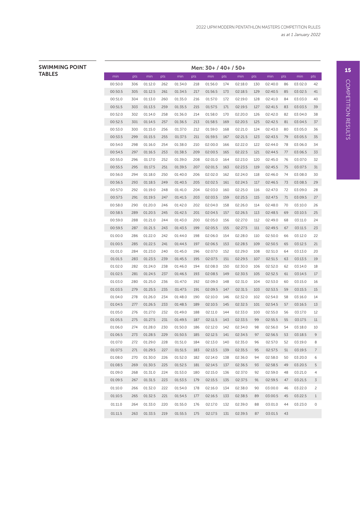| min<br>min<br>min<br>min<br>min<br>min<br>min.<br>pts.<br>pts<br>pts<br>pts<br>pts.<br>pts<br>pts<br>00:50.0<br>01:340<br>01:560<br>01:120<br>218<br>174<br>02.400<br>03:02.0<br>306<br>02.180<br>130<br>-42<br>262<br>86<br>217<br>00:50.5<br>01:34.5<br>01:56.5<br>173<br>129<br>305<br>02:18.5<br>02:40.5<br>01.125<br>261<br>85<br>03:02.5<br>41<br>00:51.0<br>01:350<br>01:130<br>216<br>01:570<br>172<br>02.190<br>128<br>03:03.0<br>304<br>260<br>02.410<br>84<br>40 | <b>SWIMMING POINT</b><br><b>TABLES</b> | Men: 30+ / 40+ / 50+ |  |  |  |  |  |  |  |  |  |  |  |  |  |
|-----------------------------------------------------------------------------------------------------------------------------------------------------------------------------------------------------------------------------------------------------------------------------------------------------------------------------------------------------------------------------------------------------------------------------------------------------------------------------|----------------------------------------|----------------------|--|--|--|--|--|--|--|--|--|--|--|--|--|
|                                                                                                                                                                                                                                                                                                                                                                                                                                                                             |                                        |                      |  |  |  |  |  |  |  |  |  |  |  |  |  |
|                                                                                                                                                                                                                                                                                                                                                                                                                                                                             |                                        |                      |  |  |  |  |  |  |  |  |  |  |  |  |  |
|                                                                                                                                                                                                                                                                                                                                                                                                                                                                             |                                        |                      |  |  |  |  |  |  |  |  |  |  |  |  |  |
|                                                                                                                                                                                                                                                                                                                                                                                                                                                                             |                                        |                      |  |  |  |  |  |  |  |  |  |  |  |  |  |

| min     | pts | min     | pts | min     | pts | min     | pts | min     | pts | min     | pts | min      | pts            |
|---------|-----|---------|-----|---------|-----|---------|-----|---------|-----|---------|-----|----------|----------------|
| 00:50.0 | 306 | 01:12.0 | 262 | 01:34.0 | 218 | 01:56.0 | 174 | 02:18.0 | 130 | 02:40.0 | 86  | 03:02.0  | 42             |
| 00:50.5 | 305 | 01:12.5 | 261 | 01:34.5 | 217 | 01:56.5 | 173 | 02.185  | 129 | 02.405  | 85  | 03:02.5  | 41             |
| 00:51.0 | 304 | 01:13.0 | 260 | 01:35.0 | 216 | 01:57.0 | 172 | 02:19.0 | 128 | 02:41.0 | 84  | 03:03.0  | 40             |
| 00:51.5 | 303 | 01:13.5 | 259 | 01:35.5 | 215 | 01:57.5 | 171 | 02:19.5 | 127 | 02:41.5 | 83  | 03:03.5  | 39             |
| 00:52.0 | 302 | 01:14.0 | 258 | 01:36.0 | 214 | 01:58.0 | 170 | 02:20.0 | 126 | 02:42.0 | 82  | 03:04.0  | 38             |
| 00:52.5 | 301 | 01:14.5 | 257 | 01:36.5 | 213 | 01:58.5 | 169 | 02:20.5 | 125 | 02:42.5 | 81  | 03:04.5  | 37             |
| 00:53.0 | 300 | 01:15.0 | 256 | 01:37.0 | 212 | 01:59.0 | 168 | 02:21.0 | 124 | 02:43.0 | 80  | 03:05.0  | 36             |
| 00:53.5 | 299 | 01:15.5 | 255 | 01:37.5 | 211 | 01:59.5 | 167 | 02:21.5 | 123 | 02:43.5 | 79  | 03:05.5  | 35             |
| 00:54.0 | 298 | 01:16.0 | 254 | 01:38.0 | 210 | 02:00.0 | 166 | 02:22.0 | 122 | 02:44.0 | 78  | 03:06.0  | 34             |
| 00:54.5 | 297 | 01:16.5 | 253 | 01:38.5 | 209 | 02:00.5 | 165 | 02:22.5 | 121 | 02:44.5 | 77  | 03:06.5  | 33             |
| 00:55.0 | 296 | 01:17.0 | 252 | 01:39.0 | 208 | 02:01.0 | 164 | 02:23.0 | 120 | 02:45.0 | 76  | 03:07.0  | 32             |
| 00:55.5 | 295 | 01:17.5 | 251 | 01:39.5 | 207 | 02:01.5 | 163 | 02:23.5 | 119 | 02:45.5 | 75  | 03:07.5  | 31             |
| 00:56.0 | 294 | 01:18.0 | 250 | 01:40.0 | 206 | 02:02.0 | 162 | 02:24.0 | 118 | 02:46.0 | 74  | 03:08.0  | 30             |
| 00:56.5 | 293 | 01:18.5 | 249 | 01:40.5 | 205 | 02:02.5 | 161 | 02:24.5 | 117 | 02:46.5 | 73  | 03:08.5  | 29             |
| 00:57.0 | 292 | 01:19.0 | 248 | 01:41.0 | 204 | 02:03.0 | 160 | 02:25.0 | 116 | 02:47.0 | 72  | 03:09.0  | 28             |
| 00:57.5 | 291 | 01:19.5 | 247 | 01:41.5 | 203 | 02:03.5 | 159 | 02:25.5 | 115 | 02:47.5 | 71  | 03:09.5  | 27             |
| 00:58.0 | 290 | 01:20.0 | 246 | 01:42.0 | 202 | 02:04.0 | 158 | 02:26.0 | 114 | 02:48.0 | 70  | 03:10.0  | 26             |
| 00:58.5 | 289 | 01:20.5 | 245 | 01:42.5 | 201 | 02:04.5 | 157 | 02:26.5 | 113 | 02:48.5 | 69  | 03:10.5  | 25             |
| 00:59.0 | 288 | 01:21.0 | 244 | 01:43.0 | 200 | 02:05.0 | 156 | 02:27.0 | 112 | 02:49.0 | 68  | 03:11.0  | 24             |
| 00:59.5 | 287 | 01:21.5 | 243 | 01.435  | 199 | 02:05.5 | 155 | 02:27.5 | 111 | 02.49.5 | 67  | 0.3:11.5 | 23             |
| 01:00.0 | 286 | 01:22.0 | 242 | 01:44.0 | 198 | 02:06.0 | 154 | 02:28.0 | 110 | 02:50.0 | 66  | 03:12.0  | 22             |
| 01:00.5 | 285 | 01:22.5 | 241 | 01:44.5 | 197 | 02:06.5 | 153 | 02:28.5 | 109 | 02:50.5 | 65  | 0.3:12.5 | 21             |
| 01:01.0 | 284 | 01:23.0 | 240 | 01:45.0 | 196 | 02:07.0 | 152 | 02:29.0 | 108 | 02:51.0 | 64  | 03:13.0  | 20             |
| 01:01.5 | 283 | 01:23.5 | 239 | 01:45.5 | 195 | 02:07.5 | 151 | 02:29.5 | 107 | 02:51.5 | 63  | 03:13.5  | 19             |
| 01:02.0 | 282 | 01:24.0 | 238 | 01:46.0 | 194 | 02:08.0 | 150 | 02:30.0 | 106 | 02:52.0 | 62  | 03:14.0  | 18             |
| 01:02.5 | 281 | 01.245  | 237 | 01:46.5 | 193 | 02:08.5 | 149 | 02:30.5 | 105 | 02:52.5 | 61  | 0.3:14.5 | 17             |
| 01:03.0 | 280 | 01:25.0 | 236 | 01:47.0 | 192 | 02:09.0 | 148 | 02:31.0 | 104 | 02:53.0 | 60  | 03:15.0  | 16             |
| 01:03.5 | 279 | 01:25.5 | 235 | 01:47.5 | 191 | 02:09.5 | 147 | 02:31.5 | 103 | 02:53.5 | 59  | 03:15.5  | 15             |
| 01:04.0 | 278 | 01:26.0 | 234 | 01:48.0 | 190 | 02:10.0 | 146 | 02:32.0 | 102 | 02:54.0 | 58  | 03:16.0  | 14             |
| 01:04.5 | 277 | 01:26.5 | 233 | 01:48.5 | 189 | 02:10.5 | 145 | 02:32.5 | 101 | 02:54.5 | 57  | 03:16.5  | 13             |
| 01:05.0 | 276 | 01:27.0 | 232 | 01:49.0 | 188 | 02:11.0 | 144 | 02:33.0 | 100 | 02:55.0 | 56  | 03:17.0  | 12             |
| 01:05.5 | 275 | 01:27.5 | 231 | 01:49.5 | 187 | 02:11.5 | 143 | 02:33.5 | 99  | 02:55.5 | 55  | 03:17.5  | 11             |
| 01:06.0 | 274 | 01:28.0 | 230 | 01:50.0 | 186 | 02:12.0 | 142 | 02:34.0 | 98  | 02:56.0 | 54  | 03:18.0  | 10             |
| 01:06.5 | 273 | 01:28.5 | 229 | 01:50.5 | 185 | 02:12.5 | 141 | 02:34.5 | 97  | 02:56.5 | 53  | 03:18.5  | $\overline{9}$ |
| 01:07.0 | 272 | 01:29.0 | 228 | 01:51.0 | 184 | 02:13.0 | 140 | 02:35.0 | 96  | 02:57.0 | 52  | 03:19.0  | 8              |
| 01:07.5 | 271 | 01:29.5 | 227 | 01:51.5 | 183 | 02:13.5 | 139 | 02:35.5 | 95  | 02:57.5 | 51  | 03:19.5  | $\overline{7}$ |
| 01:08.0 | 270 | 01:30.0 | 226 | 01:52.0 | 182 | 02:14.0 | 138 | 02:36.0 | 94  | 02:58.0 | 50  | 03:20.0  | 6              |
| 01:08.5 | 269 | 01:30.5 | 225 | 01:52.5 | 181 | 02:14.5 | 137 | 02:36.5 | 93  | 02:58.5 | 49  | 03:20.5  | 5              |
| 01:09.0 | 268 | 01:31.0 | 224 | 01:53.0 | 180 | 02:15.0 | 136 | 02:37.0 | 92  | 02:59.0 | 48  | 03:21.0  | $\overline{4}$ |
| 01:09.5 | 267 | 01:31.5 | 223 | 01:53.5 | 179 | 02:15.5 | 135 | 02:37.5 | 91  | 02:59.5 | 47  | 03:21.5  | 3              |
| 01:10.0 | 266 | 01:32.0 | 222 | 01:54.0 | 178 | 02:16.0 | 134 | 02:38.0 | 90  | 03:00.0 | 46  | 03:22.0  | $\overline{c}$ |
| 01:10.5 | 265 | 01:32.5 | 221 | 01:54.5 | 177 | 02:16.5 | 133 | 02:38.5 | 89  | 03:00.5 | 45  | 03:22.5  | $\mathbf{1}$   |
| 01:11.0 | 264 | 01:33.0 | 220 | 01:55.0 | 176 | 02:17.0 | 132 | 02:39.0 | 88  | 03:01.0 | 44  | 03:23.0  | $\circ$        |
|         |     |         |     |         |     |         |     |         |     |         |     |          |                |
| 01:115  | 263 | 01:33.5 | 219 | 01:55.5 | 175 | 02:17.5 | 131 | 02:39.5 | 87  | 03:01.5 | 43  |          |                |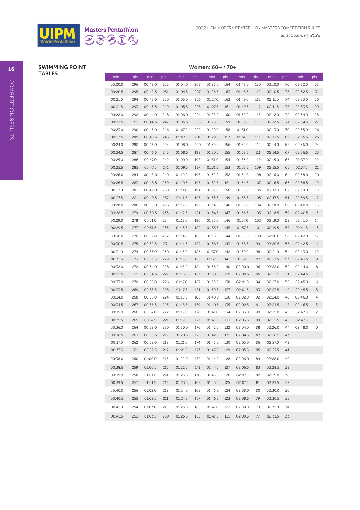

SWIMMING POINT<br>TABLES

| SWIMMING POINT |         |     |         |     |         |     | Women: 60+ / 70+ |     |         |     |         |     |         |                         |
|----------------|---------|-----|---------|-----|---------|-----|------------------|-----|---------|-----|---------|-----|---------|-------------------------|
| TABLES         | min     | pts | min     | pts | min     | pts | min              | pts | min     | pts | min     | pts | min     | pts                     |
|                | 00:20.0 | 296 | 00:42.0 | 252 | 01:04.0 | 208 | 01:26.0          | 164 | 01:48.0 | 120 | 02:10.0 | 76  | 02:32.0 | 32                      |
|                | 00:20.5 | 295 | 00:42.5 | 251 | 01:04.5 | 207 | 01:26.5          | 163 | 01:48.5 | 119 | 02:10.5 | 75  | 02:32.5 | 31                      |
|                | 00:21.0 | 294 | 00:43.0 | 250 | 01:05.0 | 206 | 01:27.0          | 162 | 01:49.0 | 118 | 02:11.0 | 74  | 02:33.0 | 30                      |
|                | 00:21.5 | 293 | 00:43.5 | 249 | 01:05.5 | 205 | 01:27.5          | 161 | 01:49.5 | 117 | 02:11.5 | 73  | 02:33.5 | 29                      |
|                | 00:22.0 | 292 | 00:44.0 | 248 | 01:06.0 | 204 | 01:28.0          | 160 | 01:50.0 | 116 | 02:12.0 | 72  | 02:34.0 | 28                      |
|                | 00:22.5 | 291 | 00:445  | 247 | 01:06.5 | 203 | 01:28.5          | 159 | 01:50.5 | 115 | 02.125  | 71  | 02:34.5 | 27                      |
|                | 00:23.0 | 290 | 00:45.0 | 246 | 01:07.0 | 202 | 01:29.0          | 158 | 01:51.0 | 114 | 02:13.0 | 70  | 02:35.0 | 26                      |
|                | 00:23.5 | 289 | 00.45.5 | 245 | 01:07.5 | 201 | 01:29.5          | 157 | 01:51.5 | 113 | 02.135  | 69  | 02:35.5 | 25                      |
|                | 00:24.0 | 288 | 00:46.0 | 244 | 01:08.0 | 200 | 01:30.0          | 156 | 01:52.0 | 112 | 02:14.0 | 68  | 02:36.0 | 24                      |
|                | 00:24.5 | 287 | 00:46.5 | 243 | 01:08.5 | 199 | 01:30.5          | 155 | 01:52.5 | 111 | 02:14.5 | 67  | 02:36.5 | 23                      |
|                | 00:25.0 | 286 | 00:47.0 | 242 | 01:09.0 | 198 | 01:31.0          | 154 | 01:53.0 | 110 | 02:15.0 | 66  | 02:37.0 | 22                      |
|                | 00:25.5 | 285 | 00:47.5 | 241 | 01:09.5 | 197 | 01:31.5          | 153 | 01:53.5 | 109 | 02:15.5 | 65  | 02:37.5 | 21                      |
|                | 00:26.0 | 284 | 00:48.0 | 240 | 01:10.0 | 196 | 01:32.0          | 152 | 01:54.0 | 108 | 02:16.0 | 64  | 02:38.0 | 20                      |
|                | 00:26.5 | 283 | 00:48.5 | 239 | 01:10.5 | 195 | 01:32.5          | 151 | 01:54.5 | 107 | 02:16.5 | 63  | 02:38.5 | 19                      |
|                | 00:27.0 | 282 | 00:49.0 | 238 | 01:11.0 | 194 | 01:33.0          | 150 | 01:55.0 | 106 | 02:17.0 | 62  | 02:39.0 | 18                      |
|                | 00:27.5 | 281 | 00:49.5 | 237 | 01:11.5 | 193 | 01:33.5          | 149 | 01:55.5 | 105 | 02:17.5 | 61  | 02:39.5 | 17                      |
|                | 00:28.0 | 280 | 00:50.0 | 236 | 01:12.0 | 192 | 01:34.0          | 148 | 01:56.0 | 104 | 02:18.0 | 60  | 02:40.0 | 16                      |
|                | 00:28.5 | 279 | 00:50.5 | 235 | 01:12.5 | 191 | 01:34.5          | 147 | 01:56.5 | 103 | 02:18.5 | 59  | 02.405  | 15                      |
|                | 00:29.0 | 278 | 00:51.0 | 234 | 01:13.0 | 190 | 01:35.0          | 146 | 01:57.0 | 102 | 02:19.0 | 58  | 02:41.0 | 14                      |
|                | 00:29.5 | 277 | 00:51.5 | 233 | 01:13.5 | 189 | 01:35.5          | 145 | 01:57.5 | 101 | 02:19.5 | 57  | 02.415  | 13                      |
|                | 00:30.0 | 276 | 00:52.0 | 232 | 01:14.0 | 188 | 01:36.0          | 144 | 01:58.0 | 100 | 02:20.0 | 56  | 02:42.0 | 12                      |
|                | 00:30.5 | 275 | 00:52.5 | 231 | 01:14.5 | 187 | 01:36.5          | 143 | 01:58.5 | 99  | 02:20.5 | 55  | 02:42.5 | 11                      |
|                | 00:31.0 | 274 | 00:53.0 | 230 | 01:15.0 | 186 | 01:37.0          | 142 | 01:59.0 | 98  | 02:21.0 | 54  | 02:43.0 | 10                      |
|                | 00:31.5 | 273 | 00:53.5 | 229 | 01:15.5 | 185 | 01:37.5          | 141 | 01:59.5 | 97  | 02:21.5 | 53  | 02:43.5 | 9                       |
|                | 00:32.0 | 272 | 00:54.0 | 228 | 01:16.0 | 184 | 01:38.0          | 140 | 02:00.0 | 96  | 02:22.0 | 52  | 02:44.0 | 8                       |
|                | 00:32.5 | 271 | 00:54.5 | 227 | 01:16.5 | 183 | 01:38.5          | 139 | 02:00.5 | 95  | 02:22.5 | 51  | 02:44.5 | $\overline{7}$          |
|                | 00:33.0 | 270 | 00:55.0 | 226 | 01:17.0 | 182 | 01:39.0          | 138 | 02:01.0 | 94  | 02:23.0 | 50  | 02:45.0 | 6                       |
|                | 00:33.5 | 269 | 00:55.5 | 225 | 01:17.5 | 181 | 01:39.5          | 137 | 02:01.5 | 93  | 02:23.5 | 49  | 02:45.5 | 5                       |
|                | 00:34.0 | 268 | 00:56.0 | 224 | 01:18.0 | 180 | 01:40.0          | 136 | 02:02.0 | 92  | 02:24.0 | 48  | 02:46.0 | $\overline{4}$          |
|                | 00:34.5 | 267 | 00:56.5 | 223 | 01:18.5 | 179 | 01:40.5          | 135 | 02:02.5 | 91  | 02:24.5 | 47  | 02.465  | 3                       |
|                | 00:35.0 | 266 | 00:57.0 | 222 | 01:19.0 | 178 | 01:41.0          | 134 | 02:03.0 | 90  | 02:25.0 | 46  | 02:47.0 | $\overline{\mathbf{c}}$ |
|                | 00:35.5 | 265 | 00:57.5 | 221 | 01:19.5 | 177 | 01:41.5          | 133 | 02:03.5 | 89  | 02:25.5 | 45  | 02.475  | $\mathbf{1}$            |
|                | 00:36.0 | 264 | 00:58.0 | 220 | 01:20.0 | 176 | 01:42.0          | 132 | 02:04.0 | 88  | 02:26.0 | 44  | 02:48.0 | 0                       |
|                | 00:36.5 | 263 | 00:58.5 | 219 | 01:20.5 | 175 | 01:42.5          | 131 | 02:04.5 | 87  | 02:26.5 | 43  |         |                         |
|                | 00:37.0 | 262 | 00:59.0 | 218 | 01:21.0 | 174 | 01:43.0          | 130 | 02:05.0 | 86  | 02:27.0 | 42  |         |                         |
|                | 00:37.5 | 261 | 00:59.5 | 217 | 01:21.5 | 173 | 01:43.5          | 129 | 02:05.5 | 85  | 02:27.5 | 41  |         |                         |
|                | 00:38.0 | 260 | 01:00.0 | 216 | 01:22.0 | 172 | 01:44.0          | 128 | 02:06.0 | 84  | 02:28.0 | 40  |         |                         |
|                | 00:38.5 | 259 | 01:00.5 | 215 | 01:22.5 | 171 | 01:44.5          | 127 | 02:06.5 | 83  | 02:28.5 | 39  |         |                         |
|                | 00:39.0 | 258 | 01:01.0 | 214 | 01:23.0 | 170 | 01:45.0          | 126 | 02:07.0 | 82  | 02:29.0 | 38  |         |                         |
|                | 00:39.5 | 257 | 01:01.5 | 213 | 01:23.5 | 169 | 01:45.5          | 125 | 02:07.5 | 81  | 02:29.5 | 37  |         |                         |
|                | 00:40.0 | 256 | 01:02.0 | 212 | 01:24.0 | 168 | 01:46.0          | 124 | 02:08.0 | 80  | 02:30.0 | 36  |         |                         |
|                | 00:40.5 | 255 | 01:02.5 | 211 | 01:24.5 | 167 | 01:46.5          | 123 | 02:08.5 | 79  | 02:30.5 | 35  |         |                         |
|                | 00:41.0 | 254 | 01:03.0 | 210 | 01:25.0 | 166 | 01:47.0          | 122 | 02:09.0 | 78  | 02:31.0 | 34  |         |                         |
|                | 00:41.5 | 253 | 01:03.5 | 209 | 01:25.5 | 165 | 01:47.5          | 121 | 02:09.5 | 77  | 02:31.5 | 33  |         |                         |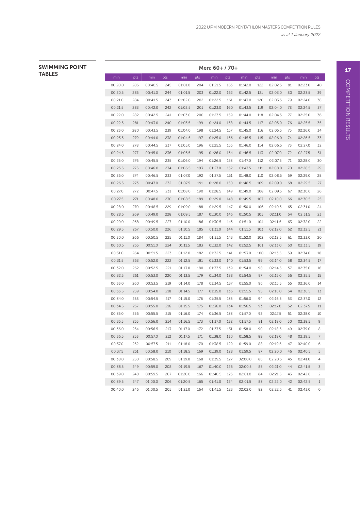| <b>SWIMMING POINT</b> |  |
|-----------------------|--|
| <b>TABLES</b>         |  |

 $\overline{\phantom{a}}$ 

| pts<br>pts<br>min<br>pts<br>min<br>pts<br>min<br>pts<br>min<br>pts<br>min<br>min<br>min<br>00:20.0<br>00:40.5<br>204<br>01:21.5<br>286<br>245<br>01:01.0<br>163<br>01:42.0<br>122<br>02:02.5<br>81<br>02:23.0<br>00:20.5<br>285<br>00:41.0<br>244<br>01:01.5<br>203<br>01:22.0<br>162<br>01:42.5<br>121<br>02:03.0<br>80<br>02:23.5<br>00:21.0<br>284<br>00:41.5<br>243<br>01:02.0<br>202<br>01:22.5<br>161<br>01:43.0<br>120<br>02:03.5<br>79<br>02:24.0<br>00:21.5<br>283<br>00:42.0<br>242<br>01:02.5<br>201<br>01:23.0<br>160<br>01:43.5<br>119<br>02:04.0<br>78<br>02:24.5<br>00:22.0<br>282<br>00:42.5<br>241<br>01:03.0<br>200<br>01:23.5<br>159<br>01:44.0<br>118<br>02:04.5<br>77<br>02:25.0<br>00:22.5<br>281<br>00:43.0<br>240<br>01:03.5<br>199<br>01:24.0<br>158<br>01:44.5<br>02:05.0<br>76<br>02:25.5<br>117<br>00:23.0<br>00:43.5<br>01:04.0<br>01:24.5<br>02:05.5<br>75<br>280<br>239<br>198<br>157<br>01:45.0<br>02:26.0<br>116<br>00:23.5<br>279<br>00:44.0<br>238<br>01:04.5<br>197<br>01:25.0<br>156<br>01:45.5<br>115<br>02:06.0<br>74<br>02:26.5<br>00:24.0<br>278<br>00:44.5<br>237<br>01:05.0<br>196<br>01:25.5<br>155<br>01:46.0<br>02:06.5<br>73<br>02:27.0<br>114<br>00:24.5<br>277<br>00:45.0<br>236<br>01:05.5<br>195<br>01:26.0<br>154<br>01:46.5<br>113<br>02:07.0<br>72<br>02:27.5<br>00:25.0<br>276<br>00:45.5<br>235<br>01:06.0<br>194<br>01:26.5<br>153<br>01:47.0<br>112<br>02:07.5<br>71<br>02:28.0<br>00:25.5<br>01:06.5<br>02:08.0<br>02:28.5<br>275<br>00:46.0<br>234<br>193<br>01:27.0<br>152<br>01:47.5<br>111<br>70<br>00:26.0<br>00:46.5<br>233<br>01:07.0<br>01:27.5<br>01:48.0<br>02:08.5<br>02:29.0<br>274<br>192<br>151<br>110<br>69<br>00:26.5<br>00:47.0<br>01:07.5<br>191<br>01:28.0<br>150<br>01:48.5<br>02:09.0<br>02:29.5<br>273<br>232<br>109<br>68<br>00:27.0<br>231<br>01:08.0<br>01:28.5<br>272<br>00:47.5<br>190<br>149<br>01:49.0<br>108<br>02:09.5<br>67<br>02:30.0<br>00:27.5<br>271<br>00:48.0<br>230<br>01:08.5<br>189<br>01:29.0<br>148<br>01:49.5<br>107<br>02:10.0<br>66<br>02:30.5<br>00:28.0<br>270<br>00:48.5<br>229<br>01:09.0<br>188<br>01:29.5<br>147<br>01:50.0<br>106<br>02:10.5<br>65<br>02:31.0<br>00:28.5<br>269<br>00:49.0<br>228<br>01:09.5<br>187<br>01:30.0<br>146<br>01:50.5<br>105<br>02:11.0<br>64<br>02:31.5<br>00:29.0<br>227<br>01:30.5<br>01:51.0<br>02:32.0<br>268<br>00:49.5<br>01:10.0<br>186<br>145<br>104<br>02:11.5<br>63<br>00:29.5<br>01:31.0<br>01:51.5<br>00:50.0<br>01:10.5<br>185<br>144<br>103<br>02:12.0<br>62<br>02:32.5<br>267<br>226<br>00:30.0<br>266<br>00:50.5<br>225<br>01:11.0<br>184<br>01:31.5<br>143<br>01:52.0<br>102<br>02:12.5<br>61<br>02:33.0<br>00:30.5<br>00:51.0<br>01:11.5<br>183<br>01:32.0<br>01:52.5<br>02:13.0<br>02:33.5<br>265<br>224<br>142<br>101<br>60<br>00:31.0<br>264<br>00:51.5<br>223<br>01:12.0<br>182<br>01:32.5<br>141<br>01:53.0<br>100<br>02:13.5<br>59<br>02:34.0<br>00:31.5<br>263<br>00:52.0<br>222<br>01:12.5<br>181<br>01:33.0<br>140<br>01:53.5<br>99<br>02:14.0<br>58<br>02:34.5<br>00:32.0<br>01:33.5<br>00:52.5<br>221<br>01:13.0<br>180<br>139<br>01:54.0<br>98<br>02:14.5<br>57<br>02:35.0<br>262<br>00:32.5<br>00:53.0<br>261<br>220<br>01:13.5<br>179<br>01:34.0<br>138<br>01:54.5<br>97<br>02:15.0<br>56<br>02:35.5<br>00:33.0<br>00:53.5<br>219<br>01:14.0<br>178<br>01:34.5<br>137<br>01:55.0<br>96<br>02:15.5<br>55<br>02:36.0<br>260<br>00:33.5<br>259<br>00:540<br>218<br>01:14.5<br>01:35.0<br>136<br>01:55.5<br>95<br>02:16.0<br>54<br>02:36.5<br>177<br>00:34.0<br>00:54.5<br>217<br>01:15.0<br>176<br>01:35.5<br>135<br>01:56.0<br>02:16.5<br>53<br>02:37.0<br>258<br>94<br>00:34.5<br>00:55.0<br>01:15.5<br>175<br>01:36.0<br>134<br>01:56.5<br>02:17.0<br>02:37.5<br>257<br>216<br>93<br>52<br>00:35.0<br>256<br>00:55.5<br>215<br>01:16.0<br>174<br>01:36.5<br>133<br>01:57.0<br>92<br>02:17.5<br>51<br>02:38.0<br>00:35.5<br>01:16.5<br>01:37.0<br>01:57.5<br>02:18.0<br>02:38.5<br>255<br>00:56.0<br>214<br>173<br>132<br>91<br>50<br>00:36.0<br>00:56.5<br>01:17.0<br>01:37.5<br>131<br>01:58.0<br>49<br>02:39.0<br>254<br>213<br>172<br>90<br>02:18.5<br>00:36.5<br>01:17.5<br>171<br>01:38.0<br>130<br>01:58.5<br>02:39.5<br>253<br>00:57.0<br>212<br>89<br>02:19.0<br>48<br>00:37.0<br>01:18.0<br>01:38.5<br>02:19.5<br>02:40.0<br>252<br>00:57.5<br>211<br>170<br>129<br>01:59.0<br>88<br>47<br>00:37.5<br>01:39.0<br>01:59.5<br>02:40.5<br>251<br>00:58.0<br>210<br>01:18.5<br>169<br>128<br>87<br>02:20.0<br>46<br>00:38.0<br>250<br>00:58.5<br>209<br>01:19.0<br>168<br>01:39.5<br>127<br>02:00.0<br>86<br>02:20.5<br>45<br>02:41.0<br>00:38.5<br>249<br>00:59.0<br>208<br>01:19.5<br>167<br>01:40.0<br>126<br>02:00.5<br>85<br>02:21.0<br>44<br>02:41.5<br>00:39.0<br>00:59.5<br>207<br>01:20.0<br>01:40.5<br>125<br>02:01.0<br>02:21.5<br>43<br>02:42.0<br>248<br>166<br>84<br>00:39.5<br>01:00.0<br>206<br>01:20.5<br>01:41.0<br>124<br>02:01.5<br>83<br>02:22.0<br>42<br>02:42.5<br>247<br>165 | SWIMMING POINT |         |     |         |     |         |     | Men: 60+ / 70+ |     |         |    |         |    |         |                         |
|---------------------------------------------------------------------------------------------------------------------------------------------------------------------------------------------------------------------------------------------------------------------------------------------------------------------------------------------------------------------------------------------------------------------------------------------------------------------------------------------------------------------------------------------------------------------------------------------------------------------------------------------------------------------------------------------------------------------------------------------------------------------------------------------------------------------------------------------------------------------------------------------------------------------------------------------------------------------------------------------------------------------------------------------------------------------------------------------------------------------------------------------------------------------------------------------------------------------------------------------------------------------------------------------------------------------------------------------------------------------------------------------------------------------------------------------------------------------------------------------------------------------------------------------------------------------------------------------------------------------------------------------------------------------------------------------------------------------------------------------------------------------------------------------------------------------------------------------------------------------------------------------------------------------------------------------------------------------------------------------------------------------------------------------------------------------------------------------------------------------------------------------------------------------------------------------------------------------------------------------------------------------------------------------------------------------------------------------------------------------------------------------------------------------------------------------------------------------------------------------------------------------------------------------------------------------------------------------------------------------------------------------------------------------------------------------------------------------------------------------------------------------------------------------------------------------------------------------------------------------------------------------------------------------------------------------------------------------------------------------------------------------------------------------------------------------------------------------------------------------------------------------------------------------------------------------------------------------------------------------------------------------------------------------------------------------------------------------------------------------------------------------------------------------------------------------------------------------------------------------------------------------------------------------------------------------------------------------------------------------------------------------------------------------------------------------------------------------------------------------------------------------------------------------------------------------------------------------------------------------------------------------------------------------------------------------------------------------------------------------------------------------------------------------------------------------------------------------------------------------------------------------------------------------------------------------------------------------------------------------------------------------------------------------------------------------------------------------------------------------------------------------------------------------------------------------------------------------------------------------------------------------------------------------------------------------------------------------------------------------------------------------------------------------------------------------------------------------------------------------------------------------------------------------------------------------------------------------------------------------------------------------------------------------------------------------------------------------------------------|----------------|---------|-----|---------|-----|---------|-----|----------------|-----|---------|----|---------|----|---------|-------------------------|
|                                                                                                                                                                                                                                                                                                                                                                                                                                                                                                                                                                                                                                                                                                                                                                                                                                                                                                                                                                                                                                                                                                                                                                                                                                                                                                                                                                                                                                                                                                                                                                                                                                                                                                                                                                                                                                                                                                                                                                                                                                                                                                                                                                                                                                                                                                                                                                                                                                                                                                                                                                                                                                                                                                                                                                                                                                                                                                                                                                                                                                                                                                                                                                                                                                                                                                                                                                                                                                                                                                                                                                                                                                                                                                                                                                                                                                                                                                                                                                                                                                                                                                                                                                                                                                                                                                                                                                                                                                                                                                                                                                                                                                                                                                                                                                                                                                                                                                                                                                                       | TABLES         |         |     |         |     |         |     |                |     |         |    |         |    |         | pts                     |
|                                                                                                                                                                                                                                                                                                                                                                                                                                                                                                                                                                                                                                                                                                                                                                                                                                                                                                                                                                                                                                                                                                                                                                                                                                                                                                                                                                                                                                                                                                                                                                                                                                                                                                                                                                                                                                                                                                                                                                                                                                                                                                                                                                                                                                                                                                                                                                                                                                                                                                                                                                                                                                                                                                                                                                                                                                                                                                                                                                                                                                                                                                                                                                                                                                                                                                                                                                                                                                                                                                                                                                                                                                                                                                                                                                                                                                                                                                                                                                                                                                                                                                                                                                                                                                                                                                                                                                                                                                                                                                                                                                                                                                                                                                                                                                                                                                                                                                                                                                                       |                |         |     |         |     |         |     |                |     |         |    |         |    |         | 40                      |
|                                                                                                                                                                                                                                                                                                                                                                                                                                                                                                                                                                                                                                                                                                                                                                                                                                                                                                                                                                                                                                                                                                                                                                                                                                                                                                                                                                                                                                                                                                                                                                                                                                                                                                                                                                                                                                                                                                                                                                                                                                                                                                                                                                                                                                                                                                                                                                                                                                                                                                                                                                                                                                                                                                                                                                                                                                                                                                                                                                                                                                                                                                                                                                                                                                                                                                                                                                                                                                                                                                                                                                                                                                                                                                                                                                                                                                                                                                                                                                                                                                                                                                                                                                                                                                                                                                                                                                                                                                                                                                                                                                                                                                                                                                                                                                                                                                                                                                                                                                                       |                |         |     |         |     |         |     |                |     |         |    |         |    |         | 39                      |
|                                                                                                                                                                                                                                                                                                                                                                                                                                                                                                                                                                                                                                                                                                                                                                                                                                                                                                                                                                                                                                                                                                                                                                                                                                                                                                                                                                                                                                                                                                                                                                                                                                                                                                                                                                                                                                                                                                                                                                                                                                                                                                                                                                                                                                                                                                                                                                                                                                                                                                                                                                                                                                                                                                                                                                                                                                                                                                                                                                                                                                                                                                                                                                                                                                                                                                                                                                                                                                                                                                                                                                                                                                                                                                                                                                                                                                                                                                                                                                                                                                                                                                                                                                                                                                                                                                                                                                                                                                                                                                                                                                                                                                                                                                                                                                                                                                                                                                                                                                                       |                |         |     |         |     |         |     |                |     |         |    |         |    |         | 38                      |
|                                                                                                                                                                                                                                                                                                                                                                                                                                                                                                                                                                                                                                                                                                                                                                                                                                                                                                                                                                                                                                                                                                                                                                                                                                                                                                                                                                                                                                                                                                                                                                                                                                                                                                                                                                                                                                                                                                                                                                                                                                                                                                                                                                                                                                                                                                                                                                                                                                                                                                                                                                                                                                                                                                                                                                                                                                                                                                                                                                                                                                                                                                                                                                                                                                                                                                                                                                                                                                                                                                                                                                                                                                                                                                                                                                                                                                                                                                                                                                                                                                                                                                                                                                                                                                                                                                                                                                                                                                                                                                                                                                                                                                                                                                                                                                                                                                                                                                                                                                                       |                |         |     |         |     |         |     |                |     |         |    |         |    |         | 37                      |
|                                                                                                                                                                                                                                                                                                                                                                                                                                                                                                                                                                                                                                                                                                                                                                                                                                                                                                                                                                                                                                                                                                                                                                                                                                                                                                                                                                                                                                                                                                                                                                                                                                                                                                                                                                                                                                                                                                                                                                                                                                                                                                                                                                                                                                                                                                                                                                                                                                                                                                                                                                                                                                                                                                                                                                                                                                                                                                                                                                                                                                                                                                                                                                                                                                                                                                                                                                                                                                                                                                                                                                                                                                                                                                                                                                                                                                                                                                                                                                                                                                                                                                                                                                                                                                                                                                                                                                                                                                                                                                                                                                                                                                                                                                                                                                                                                                                                                                                                                                                       |                |         |     |         |     |         |     |                |     |         |    |         |    |         | 36                      |
|                                                                                                                                                                                                                                                                                                                                                                                                                                                                                                                                                                                                                                                                                                                                                                                                                                                                                                                                                                                                                                                                                                                                                                                                                                                                                                                                                                                                                                                                                                                                                                                                                                                                                                                                                                                                                                                                                                                                                                                                                                                                                                                                                                                                                                                                                                                                                                                                                                                                                                                                                                                                                                                                                                                                                                                                                                                                                                                                                                                                                                                                                                                                                                                                                                                                                                                                                                                                                                                                                                                                                                                                                                                                                                                                                                                                                                                                                                                                                                                                                                                                                                                                                                                                                                                                                                                                                                                                                                                                                                                                                                                                                                                                                                                                                                                                                                                                                                                                                                                       |                |         |     |         |     |         |     |                |     |         |    |         |    |         | 35                      |
|                                                                                                                                                                                                                                                                                                                                                                                                                                                                                                                                                                                                                                                                                                                                                                                                                                                                                                                                                                                                                                                                                                                                                                                                                                                                                                                                                                                                                                                                                                                                                                                                                                                                                                                                                                                                                                                                                                                                                                                                                                                                                                                                                                                                                                                                                                                                                                                                                                                                                                                                                                                                                                                                                                                                                                                                                                                                                                                                                                                                                                                                                                                                                                                                                                                                                                                                                                                                                                                                                                                                                                                                                                                                                                                                                                                                                                                                                                                                                                                                                                                                                                                                                                                                                                                                                                                                                                                                                                                                                                                                                                                                                                                                                                                                                                                                                                                                                                                                                                                       |                |         |     |         |     |         |     |                |     |         |    |         |    |         | 34                      |
|                                                                                                                                                                                                                                                                                                                                                                                                                                                                                                                                                                                                                                                                                                                                                                                                                                                                                                                                                                                                                                                                                                                                                                                                                                                                                                                                                                                                                                                                                                                                                                                                                                                                                                                                                                                                                                                                                                                                                                                                                                                                                                                                                                                                                                                                                                                                                                                                                                                                                                                                                                                                                                                                                                                                                                                                                                                                                                                                                                                                                                                                                                                                                                                                                                                                                                                                                                                                                                                                                                                                                                                                                                                                                                                                                                                                                                                                                                                                                                                                                                                                                                                                                                                                                                                                                                                                                                                                                                                                                                                                                                                                                                                                                                                                                                                                                                                                                                                                                                                       |                |         |     |         |     |         |     |                |     |         |    |         |    |         | 33                      |
|                                                                                                                                                                                                                                                                                                                                                                                                                                                                                                                                                                                                                                                                                                                                                                                                                                                                                                                                                                                                                                                                                                                                                                                                                                                                                                                                                                                                                                                                                                                                                                                                                                                                                                                                                                                                                                                                                                                                                                                                                                                                                                                                                                                                                                                                                                                                                                                                                                                                                                                                                                                                                                                                                                                                                                                                                                                                                                                                                                                                                                                                                                                                                                                                                                                                                                                                                                                                                                                                                                                                                                                                                                                                                                                                                                                                                                                                                                                                                                                                                                                                                                                                                                                                                                                                                                                                                                                                                                                                                                                                                                                                                                                                                                                                                                                                                                                                                                                                                                                       |                |         |     |         |     |         |     |                |     |         |    |         |    |         | 32                      |
|                                                                                                                                                                                                                                                                                                                                                                                                                                                                                                                                                                                                                                                                                                                                                                                                                                                                                                                                                                                                                                                                                                                                                                                                                                                                                                                                                                                                                                                                                                                                                                                                                                                                                                                                                                                                                                                                                                                                                                                                                                                                                                                                                                                                                                                                                                                                                                                                                                                                                                                                                                                                                                                                                                                                                                                                                                                                                                                                                                                                                                                                                                                                                                                                                                                                                                                                                                                                                                                                                                                                                                                                                                                                                                                                                                                                                                                                                                                                                                                                                                                                                                                                                                                                                                                                                                                                                                                                                                                                                                                                                                                                                                                                                                                                                                                                                                                                                                                                                                                       |                |         |     |         |     |         |     |                |     |         |    |         |    |         | 31                      |
|                                                                                                                                                                                                                                                                                                                                                                                                                                                                                                                                                                                                                                                                                                                                                                                                                                                                                                                                                                                                                                                                                                                                                                                                                                                                                                                                                                                                                                                                                                                                                                                                                                                                                                                                                                                                                                                                                                                                                                                                                                                                                                                                                                                                                                                                                                                                                                                                                                                                                                                                                                                                                                                                                                                                                                                                                                                                                                                                                                                                                                                                                                                                                                                                                                                                                                                                                                                                                                                                                                                                                                                                                                                                                                                                                                                                                                                                                                                                                                                                                                                                                                                                                                                                                                                                                                                                                                                                                                                                                                                                                                                                                                                                                                                                                                                                                                                                                                                                                                                       |                |         |     |         |     |         |     |                |     |         |    |         |    |         | 30                      |
|                                                                                                                                                                                                                                                                                                                                                                                                                                                                                                                                                                                                                                                                                                                                                                                                                                                                                                                                                                                                                                                                                                                                                                                                                                                                                                                                                                                                                                                                                                                                                                                                                                                                                                                                                                                                                                                                                                                                                                                                                                                                                                                                                                                                                                                                                                                                                                                                                                                                                                                                                                                                                                                                                                                                                                                                                                                                                                                                                                                                                                                                                                                                                                                                                                                                                                                                                                                                                                                                                                                                                                                                                                                                                                                                                                                                                                                                                                                                                                                                                                                                                                                                                                                                                                                                                                                                                                                                                                                                                                                                                                                                                                                                                                                                                                                                                                                                                                                                                                                       |                |         |     |         |     |         |     |                |     |         |    |         |    |         | 29                      |
|                                                                                                                                                                                                                                                                                                                                                                                                                                                                                                                                                                                                                                                                                                                                                                                                                                                                                                                                                                                                                                                                                                                                                                                                                                                                                                                                                                                                                                                                                                                                                                                                                                                                                                                                                                                                                                                                                                                                                                                                                                                                                                                                                                                                                                                                                                                                                                                                                                                                                                                                                                                                                                                                                                                                                                                                                                                                                                                                                                                                                                                                                                                                                                                                                                                                                                                                                                                                                                                                                                                                                                                                                                                                                                                                                                                                                                                                                                                                                                                                                                                                                                                                                                                                                                                                                                                                                                                                                                                                                                                                                                                                                                                                                                                                                                                                                                                                                                                                                                                       |                |         |     |         |     |         |     |                |     |         |    |         |    |         | 28                      |
|                                                                                                                                                                                                                                                                                                                                                                                                                                                                                                                                                                                                                                                                                                                                                                                                                                                                                                                                                                                                                                                                                                                                                                                                                                                                                                                                                                                                                                                                                                                                                                                                                                                                                                                                                                                                                                                                                                                                                                                                                                                                                                                                                                                                                                                                                                                                                                                                                                                                                                                                                                                                                                                                                                                                                                                                                                                                                                                                                                                                                                                                                                                                                                                                                                                                                                                                                                                                                                                                                                                                                                                                                                                                                                                                                                                                                                                                                                                                                                                                                                                                                                                                                                                                                                                                                                                                                                                                                                                                                                                                                                                                                                                                                                                                                                                                                                                                                                                                                                                       |                |         |     |         |     |         |     |                |     |         |    |         |    |         | 27                      |
|                                                                                                                                                                                                                                                                                                                                                                                                                                                                                                                                                                                                                                                                                                                                                                                                                                                                                                                                                                                                                                                                                                                                                                                                                                                                                                                                                                                                                                                                                                                                                                                                                                                                                                                                                                                                                                                                                                                                                                                                                                                                                                                                                                                                                                                                                                                                                                                                                                                                                                                                                                                                                                                                                                                                                                                                                                                                                                                                                                                                                                                                                                                                                                                                                                                                                                                                                                                                                                                                                                                                                                                                                                                                                                                                                                                                                                                                                                                                                                                                                                                                                                                                                                                                                                                                                                                                                                                                                                                                                                                                                                                                                                                                                                                                                                                                                                                                                                                                                                                       |                |         |     |         |     |         |     |                |     |         |    |         |    |         | 26                      |
|                                                                                                                                                                                                                                                                                                                                                                                                                                                                                                                                                                                                                                                                                                                                                                                                                                                                                                                                                                                                                                                                                                                                                                                                                                                                                                                                                                                                                                                                                                                                                                                                                                                                                                                                                                                                                                                                                                                                                                                                                                                                                                                                                                                                                                                                                                                                                                                                                                                                                                                                                                                                                                                                                                                                                                                                                                                                                                                                                                                                                                                                                                                                                                                                                                                                                                                                                                                                                                                                                                                                                                                                                                                                                                                                                                                                                                                                                                                                                                                                                                                                                                                                                                                                                                                                                                                                                                                                                                                                                                                                                                                                                                                                                                                                                                                                                                                                                                                                                                                       |                |         |     |         |     |         |     |                |     |         |    |         |    |         | 25                      |
|                                                                                                                                                                                                                                                                                                                                                                                                                                                                                                                                                                                                                                                                                                                                                                                                                                                                                                                                                                                                                                                                                                                                                                                                                                                                                                                                                                                                                                                                                                                                                                                                                                                                                                                                                                                                                                                                                                                                                                                                                                                                                                                                                                                                                                                                                                                                                                                                                                                                                                                                                                                                                                                                                                                                                                                                                                                                                                                                                                                                                                                                                                                                                                                                                                                                                                                                                                                                                                                                                                                                                                                                                                                                                                                                                                                                                                                                                                                                                                                                                                                                                                                                                                                                                                                                                                                                                                                                                                                                                                                                                                                                                                                                                                                                                                                                                                                                                                                                                                                       |                |         |     |         |     |         |     |                |     |         |    |         |    |         | 24                      |
|                                                                                                                                                                                                                                                                                                                                                                                                                                                                                                                                                                                                                                                                                                                                                                                                                                                                                                                                                                                                                                                                                                                                                                                                                                                                                                                                                                                                                                                                                                                                                                                                                                                                                                                                                                                                                                                                                                                                                                                                                                                                                                                                                                                                                                                                                                                                                                                                                                                                                                                                                                                                                                                                                                                                                                                                                                                                                                                                                                                                                                                                                                                                                                                                                                                                                                                                                                                                                                                                                                                                                                                                                                                                                                                                                                                                                                                                                                                                                                                                                                                                                                                                                                                                                                                                                                                                                                                                                                                                                                                                                                                                                                                                                                                                                                                                                                                                                                                                                                                       |                |         |     |         |     |         |     |                |     |         |    |         |    |         | 23                      |
|                                                                                                                                                                                                                                                                                                                                                                                                                                                                                                                                                                                                                                                                                                                                                                                                                                                                                                                                                                                                                                                                                                                                                                                                                                                                                                                                                                                                                                                                                                                                                                                                                                                                                                                                                                                                                                                                                                                                                                                                                                                                                                                                                                                                                                                                                                                                                                                                                                                                                                                                                                                                                                                                                                                                                                                                                                                                                                                                                                                                                                                                                                                                                                                                                                                                                                                                                                                                                                                                                                                                                                                                                                                                                                                                                                                                                                                                                                                                                                                                                                                                                                                                                                                                                                                                                                                                                                                                                                                                                                                                                                                                                                                                                                                                                                                                                                                                                                                                                                                       |                |         |     |         |     |         |     |                |     |         |    |         |    |         | 22                      |
|                                                                                                                                                                                                                                                                                                                                                                                                                                                                                                                                                                                                                                                                                                                                                                                                                                                                                                                                                                                                                                                                                                                                                                                                                                                                                                                                                                                                                                                                                                                                                                                                                                                                                                                                                                                                                                                                                                                                                                                                                                                                                                                                                                                                                                                                                                                                                                                                                                                                                                                                                                                                                                                                                                                                                                                                                                                                                                                                                                                                                                                                                                                                                                                                                                                                                                                                                                                                                                                                                                                                                                                                                                                                                                                                                                                                                                                                                                                                                                                                                                                                                                                                                                                                                                                                                                                                                                                                                                                                                                                                                                                                                                                                                                                                                                                                                                                                                                                                                                                       |                |         |     |         |     |         |     |                |     |         |    |         |    |         | 21                      |
|                                                                                                                                                                                                                                                                                                                                                                                                                                                                                                                                                                                                                                                                                                                                                                                                                                                                                                                                                                                                                                                                                                                                                                                                                                                                                                                                                                                                                                                                                                                                                                                                                                                                                                                                                                                                                                                                                                                                                                                                                                                                                                                                                                                                                                                                                                                                                                                                                                                                                                                                                                                                                                                                                                                                                                                                                                                                                                                                                                                                                                                                                                                                                                                                                                                                                                                                                                                                                                                                                                                                                                                                                                                                                                                                                                                                                                                                                                                                                                                                                                                                                                                                                                                                                                                                                                                                                                                                                                                                                                                                                                                                                                                                                                                                                                                                                                                                                                                                                                                       |                |         |     |         |     |         |     |                |     |         |    |         |    |         | 20                      |
|                                                                                                                                                                                                                                                                                                                                                                                                                                                                                                                                                                                                                                                                                                                                                                                                                                                                                                                                                                                                                                                                                                                                                                                                                                                                                                                                                                                                                                                                                                                                                                                                                                                                                                                                                                                                                                                                                                                                                                                                                                                                                                                                                                                                                                                                                                                                                                                                                                                                                                                                                                                                                                                                                                                                                                                                                                                                                                                                                                                                                                                                                                                                                                                                                                                                                                                                                                                                                                                                                                                                                                                                                                                                                                                                                                                                                                                                                                                                                                                                                                                                                                                                                                                                                                                                                                                                                                                                                                                                                                                                                                                                                                                                                                                                                                                                                                                                                                                                                                                       |                |         |     |         |     |         |     |                |     |         |    |         |    |         | 19                      |
|                                                                                                                                                                                                                                                                                                                                                                                                                                                                                                                                                                                                                                                                                                                                                                                                                                                                                                                                                                                                                                                                                                                                                                                                                                                                                                                                                                                                                                                                                                                                                                                                                                                                                                                                                                                                                                                                                                                                                                                                                                                                                                                                                                                                                                                                                                                                                                                                                                                                                                                                                                                                                                                                                                                                                                                                                                                                                                                                                                                                                                                                                                                                                                                                                                                                                                                                                                                                                                                                                                                                                                                                                                                                                                                                                                                                                                                                                                                                                                                                                                                                                                                                                                                                                                                                                                                                                                                                                                                                                                                                                                                                                                                                                                                                                                                                                                                                                                                                                                                       |                |         |     |         |     |         |     |                |     |         |    |         |    |         | 18                      |
|                                                                                                                                                                                                                                                                                                                                                                                                                                                                                                                                                                                                                                                                                                                                                                                                                                                                                                                                                                                                                                                                                                                                                                                                                                                                                                                                                                                                                                                                                                                                                                                                                                                                                                                                                                                                                                                                                                                                                                                                                                                                                                                                                                                                                                                                                                                                                                                                                                                                                                                                                                                                                                                                                                                                                                                                                                                                                                                                                                                                                                                                                                                                                                                                                                                                                                                                                                                                                                                                                                                                                                                                                                                                                                                                                                                                                                                                                                                                                                                                                                                                                                                                                                                                                                                                                                                                                                                                                                                                                                                                                                                                                                                                                                                                                                                                                                                                                                                                                                                       |                |         |     |         |     |         |     |                |     |         |    |         |    |         | 17                      |
|                                                                                                                                                                                                                                                                                                                                                                                                                                                                                                                                                                                                                                                                                                                                                                                                                                                                                                                                                                                                                                                                                                                                                                                                                                                                                                                                                                                                                                                                                                                                                                                                                                                                                                                                                                                                                                                                                                                                                                                                                                                                                                                                                                                                                                                                                                                                                                                                                                                                                                                                                                                                                                                                                                                                                                                                                                                                                                                                                                                                                                                                                                                                                                                                                                                                                                                                                                                                                                                                                                                                                                                                                                                                                                                                                                                                                                                                                                                                                                                                                                                                                                                                                                                                                                                                                                                                                                                                                                                                                                                                                                                                                                                                                                                                                                                                                                                                                                                                                                                       |                |         |     |         |     |         |     |                |     |         |    |         |    |         | 16                      |
|                                                                                                                                                                                                                                                                                                                                                                                                                                                                                                                                                                                                                                                                                                                                                                                                                                                                                                                                                                                                                                                                                                                                                                                                                                                                                                                                                                                                                                                                                                                                                                                                                                                                                                                                                                                                                                                                                                                                                                                                                                                                                                                                                                                                                                                                                                                                                                                                                                                                                                                                                                                                                                                                                                                                                                                                                                                                                                                                                                                                                                                                                                                                                                                                                                                                                                                                                                                                                                                                                                                                                                                                                                                                                                                                                                                                                                                                                                                                                                                                                                                                                                                                                                                                                                                                                                                                                                                                                                                                                                                                                                                                                                                                                                                                                                                                                                                                                                                                                                                       |                |         |     |         |     |         |     |                |     |         |    |         |    |         | 15                      |
|                                                                                                                                                                                                                                                                                                                                                                                                                                                                                                                                                                                                                                                                                                                                                                                                                                                                                                                                                                                                                                                                                                                                                                                                                                                                                                                                                                                                                                                                                                                                                                                                                                                                                                                                                                                                                                                                                                                                                                                                                                                                                                                                                                                                                                                                                                                                                                                                                                                                                                                                                                                                                                                                                                                                                                                                                                                                                                                                                                                                                                                                                                                                                                                                                                                                                                                                                                                                                                                                                                                                                                                                                                                                                                                                                                                                                                                                                                                                                                                                                                                                                                                                                                                                                                                                                                                                                                                                                                                                                                                                                                                                                                                                                                                                                                                                                                                                                                                                                                                       |                |         |     |         |     |         |     |                |     |         |    |         |    |         | 14                      |
|                                                                                                                                                                                                                                                                                                                                                                                                                                                                                                                                                                                                                                                                                                                                                                                                                                                                                                                                                                                                                                                                                                                                                                                                                                                                                                                                                                                                                                                                                                                                                                                                                                                                                                                                                                                                                                                                                                                                                                                                                                                                                                                                                                                                                                                                                                                                                                                                                                                                                                                                                                                                                                                                                                                                                                                                                                                                                                                                                                                                                                                                                                                                                                                                                                                                                                                                                                                                                                                                                                                                                                                                                                                                                                                                                                                                                                                                                                                                                                                                                                                                                                                                                                                                                                                                                                                                                                                                                                                                                                                                                                                                                                                                                                                                                                                                                                                                                                                                                                                       |                |         |     |         |     |         |     |                |     |         |    |         |    |         | 13                      |
|                                                                                                                                                                                                                                                                                                                                                                                                                                                                                                                                                                                                                                                                                                                                                                                                                                                                                                                                                                                                                                                                                                                                                                                                                                                                                                                                                                                                                                                                                                                                                                                                                                                                                                                                                                                                                                                                                                                                                                                                                                                                                                                                                                                                                                                                                                                                                                                                                                                                                                                                                                                                                                                                                                                                                                                                                                                                                                                                                                                                                                                                                                                                                                                                                                                                                                                                                                                                                                                                                                                                                                                                                                                                                                                                                                                                                                                                                                                                                                                                                                                                                                                                                                                                                                                                                                                                                                                                                                                                                                                                                                                                                                                                                                                                                                                                                                                                                                                                                                                       |                |         |     |         |     |         |     |                |     |         |    |         |    |         | 12                      |
|                                                                                                                                                                                                                                                                                                                                                                                                                                                                                                                                                                                                                                                                                                                                                                                                                                                                                                                                                                                                                                                                                                                                                                                                                                                                                                                                                                                                                                                                                                                                                                                                                                                                                                                                                                                                                                                                                                                                                                                                                                                                                                                                                                                                                                                                                                                                                                                                                                                                                                                                                                                                                                                                                                                                                                                                                                                                                                                                                                                                                                                                                                                                                                                                                                                                                                                                                                                                                                                                                                                                                                                                                                                                                                                                                                                                                                                                                                                                                                                                                                                                                                                                                                                                                                                                                                                                                                                                                                                                                                                                                                                                                                                                                                                                                                                                                                                                                                                                                                                       |                |         |     |         |     |         |     |                |     |         |    |         |    |         | $11\,$                  |
|                                                                                                                                                                                                                                                                                                                                                                                                                                                                                                                                                                                                                                                                                                                                                                                                                                                                                                                                                                                                                                                                                                                                                                                                                                                                                                                                                                                                                                                                                                                                                                                                                                                                                                                                                                                                                                                                                                                                                                                                                                                                                                                                                                                                                                                                                                                                                                                                                                                                                                                                                                                                                                                                                                                                                                                                                                                                                                                                                                                                                                                                                                                                                                                                                                                                                                                                                                                                                                                                                                                                                                                                                                                                                                                                                                                                                                                                                                                                                                                                                                                                                                                                                                                                                                                                                                                                                                                                                                                                                                                                                                                                                                                                                                                                                                                                                                                                                                                                                                                       |                |         |     |         |     |         |     |                |     |         |    |         |    |         | 10                      |
|                                                                                                                                                                                                                                                                                                                                                                                                                                                                                                                                                                                                                                                                                                                                                                                                                                                                                                                                                                                                                                                                                                                                                                                                                                                                                                                                                                                                                                                                                                                                                                                                                                                                                                                                                                                                                                                                                                                                                                                                                                                                                                                                                                                                                                                                                                                                                                                                                                                                                                                                                                                                                                                                                                                                                                                                                                                                                                                                                                                                                                                                                                                                                                                                                                                                                                                                                                                                                                                                                                                                                                                                                                                                                                                                                                                                                                                                                                                                                                                                                                                                                                                                                                                                                                                                                                                                                                                                                                                                                                                                                                                                                                                                                                                                                                                                                                                                                                                                                                                       |                |         |     |         |     |         |     |                |     |         |    |         |    |         | 9                       |
|                                                                                                                                                                                                                                                                                                                                                                                                                                                                                                                                                                                                                                                                                                                                                                                                                                                                                                                                                                                                                                                                                                                                                                                                                                                                                                                                                                                                                                                                                                                                                                                                                                                                                                                                                                                                                                                                                                                                                                                                                                                                                                                                                                                                                                                                                                                                                                                                                                                                                                                                                                                                                                                                                                                                                                                                                                                                                                                                                                                                                                                                                                                                                                                                                                                                                                                                                                                                                                                                                                                                                                                                                                                                                                                                                                                                                                                                                                                                                                                                                                                                                                                                                                                                                                                                                                                                                                                                                                                                                                                                                                                                                                                                                                                                                                                                                                                                                                                                                                                       |                |         |     |         |     |         |     |                |     |         |    |         |    |         | 8                       |
|                                                                                                                                                                                                                                                                                                                                                                                                                                                                                                                                                                                                                                                                                                                                                                                                                                                                                                                                                                                                                                                                                                                                                                                                                                                                                                                                                                                                                                                                                                                                                                                                                                                                                                                                                                                                                                                                                                                                                                                                                                                                                                                                                                                                                                                                                                                                                                                                                                                                                                                                                                                                                                                                                                                                                                                                                                                                                                                                                                                                                                                                                                                                                                                                                                                                                                                                                                                                                                                                                                                                                                                                                                                                                                                                                                                                                                                                                                                                                                                                                                                                                                                                                                                                                                                                                                                                                                                                                                                                                                                                                                                                                                                                                                                                                                                                                                                                                                                                                                                       |                |         |     |         |     |         |     |                |     |         |    |         |    |         | $\overline{7}$          |
|                                                                                                                                                                                                                                                                                                                                                                                                                                                                                                                                                                                                                                                                                                                                                                                                                                                                                                                                                                                                                                                                                                                                                                                                                                                                                                                                                                                                                                                                                                                                                                                                                                                                                                                                                                                                                                                                                                                                                                                                                                                                                                                                                                                                                                                                                                                                                                                                                                                                                                                                                                                                                                                                                                                                                                                                                                                                                                                                                                                                                                                                                                                                                                                                                                                                                                                                                                                                                                                                                                                                                                                                                                                                                                                                                                                                                                                                                                                                                                                                                                                                                                                                                                                                                                                                                                                                                                                                                                                                                                                                                                                                                                                                                                                                                                                                                                                                                                                                                                                       |                |         |     |         |     |         |     |                |     |         |    |         |    |         | 6                       |
|                                                                                                                                                                                                                                                                                                                                                                                                                                                                                                                                                                                                                                                                                                                                                                                                                                                                                                                                                                                                                                                                                                                                                                                                                                                                                                                                                                                                                                                                                                                                                                                                                                                                                                                                                                                                                                                                                                                                                                                                                                                                                                                                                                                                                                                                                                                                                                                                                                                                                                                                                                                                                                                                                                                                                                                                                                                                                                                                                                                                                                                                                                                                                                                                                                                                                                                                                                                                                                                                                                                                                                                                                                                                                                                                                                                                                                                                                                                                                                                                                                                                                                                                                                                                                                                                                                                                                                                                                                                                                                                                                                                                                                                                                                                                                                                                                                                                                                                                                                                       |                |         |     |         |     |         |     |                |     |         |    |         |    |         | 5                       |
|                                                                                                                                                                                                                                                                                                                                                                                                                                                                                                                                                                                                                                                                                                                                                                                                                                                                                                                                                                                                                                                                                                                                                                                                                                                                                                                                                                                                                                                                                                                                                                                                                                                                                                                                                                                                                                                                                                                                                                                                                                                                                                                                                                                                                                                                                                                                                                                                                                                                                                                                                                                                                                                                                                                                                                                                                                                                                                                                                                                                                                                                                                                                                                                                                                                                                                                                                                                                                                                                                                                                                                                                                                                                                                                                                                                                                                                                                                                                                                                                                                                                                                                                                                                                                                                                                                                                                                                                                                                                                                                                                                                                                                                                                                                                                                                                                                                                                                                                                                                       |                |         |     |         |     |         |     |                |     |         |    |         |    |         | 4                       |
|                                                                                                                                                                                                                                                                                                                                                                                                                                                                                                                                                                                                                                                                                                                                                                                                                                                                                                                                                                                                                                                                                                                                                                                                                                                                                                                                                                                                                                                                                                                                                                                                                                                                                                                                                                                                                                                                                                                                                                                                                                                                                                                                                                                                                                                                                                                                                                                                                                                                                                                                                                                                                                                                                                                                                                                                                                                                                                                                                                                                                                                                                                                                                                                                                                                                                                                                                                                                                                                                                                                                                                                                                                                                                                                                                                                                                                                                                                                                                                                                                                                                                                                                                                                                                                                                                                                                                                                                                                                                                                                                                                                                                                                                                                                                                                                                                                                                                                                                                                                       |                |         |     |         |     |         |     |                |     |         |    |         |    |         | 3                       |
|                                                                                                                                                                                                                                                                                                                                                                                                                                                                                                                                                                                                                                                                                                                                                                                                                                                                                                                                                                                                                                                                                                                                                                                                                                                                                                                                                                                                                                                                                                                                                                                                                                                                                                                                                                                                                                                                                                                                                                                                                                                                                                                                                                                                                                                                                                                                                                                                                                                                                                                                                                                                                                                                                                                                                                                                                                                                                                                                                                                                                                                                                                                                                                                                                                                                                                                                                                                                                                                                                                                                                                                                                                                                                                                                                                                                                                                                                                                                                                                                                                                                                                                                                                                                                                                                                                                                                                                                                                                                                                                                                                                                                                                                                                                                                                                                                                                                                                                                                                                       |                |         |     |         |     |         |     |                |     |         |    |         |    |         | $\overline{\mathbf{c}}$ |
|                                                                                                                                                                                                                                                                                                                                                                                                                                                                                                                                                                                                                                                                                                                                                                                                                                                                                                                                                                                                                                                                                                                                                                                                                                                                                                                                                                                                                                                                                                                                                                                                                                                                                                                                                                                                                                                                                                                                                                                                                                                                                                                                                                                                                                                                                                                                                                                                                                                                                                                                                                                                                                                                                                                                                                                                                                                                                                                                                                                                                                                                                                                                                                                                                                                                                                                                                                                                                                                                                                                                                                                                                                                                                                                                                                                                                                                                                                                                                                                                                                                                                                                                                                                                                                                                                                                                                                                                                                                                                                                                                                                                                                                                                                                                                                                                                                                                                                                                                                                       |                |         |     |         |     |         |     |                |     |         |    |         |    |         | $\mathbf{1}$            |
|                                                                                                                                                                                                                                                                                                                                                                                                                                                                                                                                                                                                                                                                                                                                                                                                                                                                                                                                                                                                                                                                                                                                                                                                                                                                                                                                                                                                                                                                                                                                                                                                                                                                                                                                                                                                                                                                                                                                                                                                                                                                                                                                                                                                                                                                                                                                                                                                                                                                                                                                                                                                                                                                                                                                                                                                                                                                                                                                                                                                                                                                                                                                                                                                                                                                                                                                                                                                                                                                                                                                                                                                                                                                                                                                                                                                                                                                                                                                                                                                                                                                                                                                                                                                                                                                                                                                                                                                                                                                                                                                                                                                                                                                                                                                                                                                                                                                                                                                                                                       |                | 00:40.0 | 246 | 01:00.5 | 205 | 01:21.0 | 164 | 01:41.5        | 123 | 02:02.0 | 82 | 02:22.5 | 41 | 02:43.0 | $\circ$                 |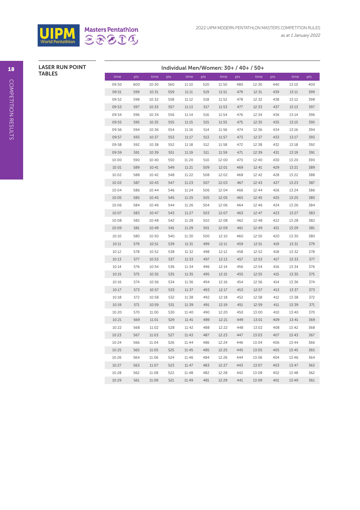

LASER RUN POINT

| LASER RUN POINT | Individual Men/Women: 30+ / 40+ / 50+ |     |       |     |       |     |       |     |       |     |       |     |  |  |
|-----------------|---------------------------------------|-----|-------|-----|-------|-----|-------|-----|-------|-----|-------|-----|--|--|
| <b>TABLES</b>   | time                                  | pts | time  | pts | time  | pts | time  | pts | time  | pts | time  | pts |  |  |
|                 | 09:50                                 | 600 | 10:30 | 560 | 11:10 | 520 | 11:50 | 480 | 12:30 | 440 | 13:10 | 400 |  |  |
|                 | 09:51                                 | 599 | 10:31 | 559 | 11:11 | 519 | 11:51 | 479 | 12:31 | 439 | 13:11 | 399 |  |  |
|                 | 09:52                                 | 598 | 10:32 | 558 | 11:12 | 518 | 11:52 | 478 | 12:32 | 438 | 13:12 | 398 |  |  |
|                 | 09:53                                 | 597 | 10:33 | 557 | 11:13 | 517 | 11:53 | 477 | 12:33 | 437 | 13:13 | 397 |  |  |
|                 | 09:54                                 | 596 | 10:34 | 556 | 11:14 | 516 | 11:54 | 476 | 12:34 | 436 | 13:14 | 396 |  |  |
|                 | 09:55                                 | 595 | 10:35 | 555 | 11:15 | 515 | 11:55 | 475 | 12:35 | 435 | 13:15 | 395 |  |  |
|                 | 09:56                                 | 594 | 10:36 | 554 | 11:16 | 514 | 11:56 | 474 | 12:36 | 434 | 13:16 | 394 |  |  |
|                 | 09:57                                 | 593 | 10:37 | 553 | 11:17 | 513 | 11:57 | 473 | 12:37 | 433 | 13:17 | 393 |  |  |
|                 | 09:58                                 | 592 | 10:38 | 552 | 11:18 | 512 | 11:58 | 472 | 12:38 | 432 | 13:18 | 392 |  |  |
|                 | 09:59                                 | 591 | 10:39 | 551 | 11:19 | 511 | 11:59 | 471 | 12:39 | 431 | 13:19 | 391 |  |  |
|                 | 10:00                                 | 590 | 10:40 | 550 | 11:20 | 510 | 12:00 | 470 | 12:40 | 430 | 13:20 | 390 |  |  |
|                 | 10:01                                 | 589 | 10:41 | 549 | 11:21 | 509 | 12:01 | 469 | 12:41 | 429 | 13:21 | 389 |  |  |
|                 | 10:02                                 | 588 | 10:42 | 548 | 11:22 | 508 | 12:02 | 468 | 12:42 | 428 | 13:22 | 388 |  |  |
|                 | 10:03                                 | 587 | 10:43 | 547 | 11:23 | 507 | 12:03 | 467 | 12:43 | 427 | 13:23 | 387 |  |  |
|                 | 10:04                                 | 586 | 10:44 | 546 | 11:24 | 506 | 12:04 | 466 | 12:44 | 426 | 13:24 | 386 |  |  |
|                 | 10:05                                 | 585 | 10:45 | 545 | 11:25 | 505 | 12:05 | 465 | 12:45 | 425 | 13:25 | 385 |  |  |
|                 | 10:06                                 | 584 | 10:46 | 544 | 11:26 | 504 | 12:06 | 464 | 12:46 | 424 | 13:26 | 384 |  |  |
|                 | 10:07                                 | 583 | 10:47 | 543 | 11:27 | 503 | 12:07 | 463 | 12:47 | 423 | 13:27 | 383 |  |  |
|                 | 10:08                                 | 582 | 10:48 | 542 | 11:28 | 502 | 12:08 | 462 | 12:48 | 422 | 13:28 | 382 |  |  |
|                 | 10:09                                 | 581 | 10:49 | 541 | 11:29 | 501 | 12:09 | 461 | 12:49 | 421 | 13:29 | 381 |  |  |
|                 | 10:10                                 | 580 | 10:50 | 540 | 11:30 | 500 | 12:10 | 460 | 12:50 | 420 | 13:30 | 380 |  |  |
|                 | 10:11                                 | 579 | 10:51 | 539 | 11:31 | 499 | 12:11 | 459 | 12:51 | 419 | 13:31 | 379 |  |  |
|                 | 10:12                                 | 578 | 10:52 | 538 | 11:32 | 498 | 12:12 | 458 | 12:52 | 418 | 13:32 | 378 |  |  |
|                 | 10:13                                 | 577 | 10:53 | 537 | 11:33 | 497 | 12:13 | 457 | 12:53 | 417 | 13:33 | 377 |  |  |
|                 | 10:14                                 | 576 | 10:54 | 536 | 11:34 | 496 | 12:14 | 456 | 12:54 | 416 | 13:34 | 376 |  |  |
|                 | 10:15                                 | 575 | 10:55 | 535 | 11:35 | 495 | 12:15 | 455 | 12:55 | 415 | 13:35 | 375 |  |  |
|                 | 10:16                                 | 574 | 10:56 | 534 | 11:36 | 494 | 12:16 | 454 | 12:56 | 414 | 13:36 | 374 |  |  |
|                 | 10:17                                 | 573 | 10:57 | 533 | 11:37 | 493 | 12:17 | 453 | 12:57 | 413 | 13:37 | 373 |  |  |
|                 | 10:18                                 | 572 | 10:58 | 532 | 11:38 | 492 | 12:18 | 452 | 12:58 | 412 | 13:38 | 372 |  |  |
|                 | 10:19                                 | 571 | 10:59 | 531 | 11:39 | 491 | 12:19 | 451 | 12:59 | 411 | 13:39 | 371 |  |  |
|                 | 10:20                                 | 570 | 11:00 | 530 | 11:40 | 490 | 12:20 | 450 | 13:00 | 410 | 13:40 | 370 |  |  |
|                 | 10:21                                 | 569 | 11:01 | 529 | 11:41 | 489 | 12:21 | 449 | 13:01 | 409 | 13:41 | 369 |  |  |
|                 | 10:22                                 | 568 | 11:02 | 528 | 11:42 | 488 | 12:22 | 448 | 13:02 | 408 | 13:42 | 368 |  |  |
|                 | 10:23                                 | 567 | 11:03 | 527 | 11:43 | 487 | 12:23 | 447 | 13:03 | 407 | 13:43 | 367 |  |  |
|                 | 10:24                                 | 566 | 11:04 | 526 | 11:44 | 486 | 12:24 | 446 | 13:04 | 406 | 13:44 | 366 |  |  |
|                 | 10:25                                 | 565 | 11:05 | 525 | 11:45 | 485 | 12:25 | 445 | 13:05 | 405 | 13:45 | 365 |  |  |
|                 | 10:26                                 | 564 | 11:06 | 524 | 11:46 | 484 | 12:26 | 444 | 13:06 | 404 | 13:46 | 364 |  |  |
|                 | 10:27                                 | 563 | 11:07 | 523 | 11:47 | 483 | 12:27 | 443 | 13:07 | 403 | 13:47 | 363 |  |  |
|                 | 10:28                                 | 562 | 11:08 | 522 | 11:48 | 482 | 12:28 | 442 | 13:08 | 402 | 13:48 | 362 |  |  |
|                 | 10:29                                 | 561 | 11:09 | 521 | 11:49 | 481 | 12:29 | 441 | 13:09 | 401 | 13:49 | 361 |  |  |

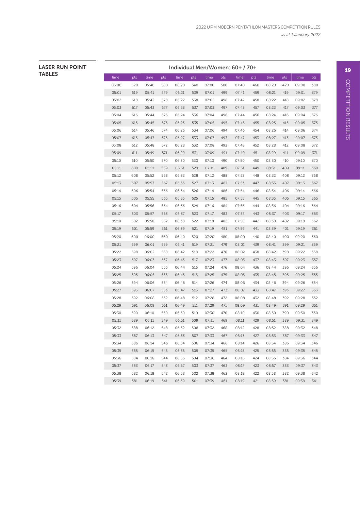| LAJLIN NUN FUINT |     |
|------------------|-----|
| <b>TABLES</b>    | tim |
|                  | 05: |
|                  | 05: |

J.

| <b>LASER RUN POINT</b> |       |     |       |     |       |     |       |     | Individual Men/Women: 60+ / 70+ |     |       |     |       |     |
|------------------------|-------|-----|-------|-----|-------|-----|-------|-----|---------------------------------|-----|-------|-----|-------|-----|
| <b>TABLES</b>          | time  | pts | time  | pts | time  | pts | time  | pts | time                            | pts | time  | pts | time  | pts |
|                        | 05:00 | 620 | 05:40 | 580 | 06:20 | 540 | 07:00 | 500 | 07:40                           | 460 | 08:20 | 420 | 09:00 | 380 |
|                        | 05:01 | 619 | 05:41 | 579 | 06:21 | 539 | 07:01 | 499 | 07:41                           | 459 | 08:21 | 419 | 09:01 | 379 |
|                        | 05:02 | 618 | 05:42 | 578 | 06:22 | 538 | 07:02 | 498 | 07:42                           | 458 | 08:22 | 418 | 09:02 | 378 |
|                        | 05:03 | 617 | 05:43 | 577 | 06:23 | 537 | 07:03 | 497 | 07:43                           | 457 | 08:23 | 417 | 09:03 | 377 |
|                        | 05:04 | 616 | 05:44 | 576 | 06:24 | 536 | 07:04 | 496 | 07:44                           | 456 | 08:24 | 416 | 09:04 | 376 |
|                        | 05:05 | 615 | 05:45 | 575 | 06:25 | 535 | 07:05 | 495 | 07:45                           | 455 | 08:25 | 415 | 09:05 | 375 |
|                        | 05:06 | 614 | 05:46 | 574 | 06:26 | 534 | 07:06 | 494 | 07:46                           | 454 | 08:26 | 414 | 09:06 | 374 |
|                        | 05:07 | 613 | 05:47 | 573 | 06:27 | 533 | 07:07 | 493 | 07:47                           | 453 | 08:27 | 413 | 09:07 | 373 |
|                        | 05:08 | 612 | 05:48 | 572 | 06:28 | 532 | 07:08 | 492 | 07:48                           | 452 | 08:28 | 412 | 09:08 | 372 |
|                        | 05:09 | 611 | 05:49 | 571 | 06:29 | 531 | 07:09 | 491 | 07:49                           | 451 | 08:29 | 411 | 09:09 | 371 |
|                        | 05:10 | 610 | 05:50 | 570 | 06:30 | 530 | 07:10 | 490 | 07:50                           | 450 | 08:30 | 410 | 09:10 | 370 |
|                        | 05:11 | 609 | 05:51 | 569 | 06:31 | 529 | 07:11 | 489 | 07:51                           | 449 | 08:31 | 409 | 09:11 | 369 |
|                        | 05:12 | 608 | 05:52 | 568 | 06:32 | 528 | 07:12 | 488 | 07:52                           | 448 | 08:32 | 408 | 09:12 | 368 |
|                        | 05:13 | 607 | 05:53 | 567 | 06:33 | 527 | 07:13 | 487 | 07:53                           | 447 | 08:33 | 407 | 09:13 | 367 |
|                        | 05:14 | 606 | 05:54 | 566 | 06:34 | 526 | 07:14 | 486 | 07:54                           | 446 | 08:34 | 406 | 09:14 | 366 |
|                        | 05:15 | 605 | 05:55 | 565 | 06:35 | 525 | 07:15 | 485 | 07:55                           | 445 | 08:35 | 405 | 09:15 | 365 |
|                        | 05:16 | 604 | 05:56 | 564 | 06:36 | 524 | 07:16 | 484 | 07:56                           | 444 | 08:36 | 404 | 09:16 | 364 |
|                        | 05:17 | 603 | 05:57 | 563 | 06:37 | 523 | 07:17 | 483 | 07:57                           | 443 | 08:37 | 403 | 09:17 | 363 |
|                        | 05:18 | 602 | 05:58 | 562 | 06:38 | 522 | 07:18 | 482 | 07:58                           | 442 | 08:38 | 402 | 09:18 | 362 |
|                        | 05:19 | 601 | 05:59 | 561 | 06:39 | 521 | 07:19 | 481 | 07:59                           | 441 | 08:39 | 401 | 09:19 | 361 |
|                        | 05:20 | 600 | 06:00 | 560 | 06:40 | 520 | 07:20 | 480 | 08:00                           | 440 | 08:40 | 400 | 09:20 | 360 |
|                        | 05:21 | 599 | 06:01 | 559 | 06:41 | 519 | 07:21 | 479 | 08:01                           | 439 | 08:41 | 399 | 09:21 | 359 |
|                        | 05:22 | 598 | 06:02 | 558 | 06:42 | 518 | 07:22 | 478 | 08:02                           | 438 | 08:42 | 398 | 09:22 | 358 |
|                        | 05:23 | 597 | 06:03 | 557 | 06:43 | 517 | 07:23 | 477 | 08:03                           | 437 | 08:43 | 397 | 09:23 | 357 |
|                        | 05:24 | 596 | 06:04 | 556 | 06:44 | 516 | 07:24 | 476 | 08:04                           | 436 | 08:44 | 396 | 09:24 | 356 |
|                        | 05:25 | 595 | 06:05 | 555 | 06:45 | 515 | 07:25 | 475 | 08:05                           | 435 | 08:45 | 395 | 09:25 | 355 |
|                        | 05:26 | 594 | 06:06 | 554 | 06:46 | 514 | 07:26 | 474 | 08:06                           | 434 | 08:46 | 394 | 09:26 | 354 |
|                        | 05:27 | 593 | 06:07 | 553 | 06:47 | 513 | 07:27 | 473 | 08:07                           | 433 | 08:47 | 393 | 09:27 | 353 |
|                        | 05:28 | 592 | 06:08 | 552 | 06:48 | 512 | 07:28 | 472 | 08:08                           | 432 | 08:48 | 392 | 09:28 | 352 |
|                        | 05:29 | 591 | 06:09 | 551 | 06:49 | 511 | 07:29 | 471 | 08:09                           | 431 | 08:49 | 391 | 09:29 | 351 |
|                        | 05:30 | 590 | 06:10 | 550 | 06:50 | 510 | 07:30 | 470 | 08:10                           | 430 | 08:50 | 390 | 09:30 | 350 |
|                        | 05:31 | 589 | 06:11 | 549 | 06:51 | 509 | 07:31 | 469 | 08:11                           | 429 | 08:51 | 389 | 09:31 | 349 |
|                        | 05:32 | 588 | 06:12 | 548 | 06:52 | 508 | 07:32 | 468 | 08:12                           | 428 | 08:52 | 388 | 09:32 | 348 |
|                        | 05:33 | 587 | 06:13 | 547 | 06:53 | 507 | 07:33 | 467 | 08:13                           | 427 | 08:53 | 387 | 09:33 | 347 |
|                        | 05:34 | 586 | 06:14 | 546 | 06:54 | 506 | 07:34 | 466 | 08:14                           | 426 | 08:54 | 386 | 09:34 | 346 |
|                        | 05:35 | 585 | 06:15 | 545 | 06:55 | 505 | 07:35 | 465 | 08:15                           | 425 | 08:55 | 385 | 09:35 | 345 |
|                        | 05:36 | 584 | 06:16 | 544 | 06:56 | 504 | 07:36 | 464 | 08:16                           | 424 | 08:56 | 384 | 09:36 | 344 |
|                        | 05:37 | 583 | 06:17 | 543 | 06:57 | 503 | 07:37 | 463 | 08:17                           | 423 | 08:57 | 383 | 09:37 | 343 |
|                        | 05:38 | 582 | 06:18 | 542 | 06:58 | 502 | 07:38 | 462 | 08:18                           | 422 | 08:58 | 382 | 09:38 | 342 |
|                        | 05:39 | 581 | 06:19 | 541 | 06:59 | 501 | 07:39 | 461 | 08:19                           | 421 | 08:59 | 381 | 09:39 | 341 |
|                        |       |     |       |     |       |     |       |     |                                 |     |       |     |       |     |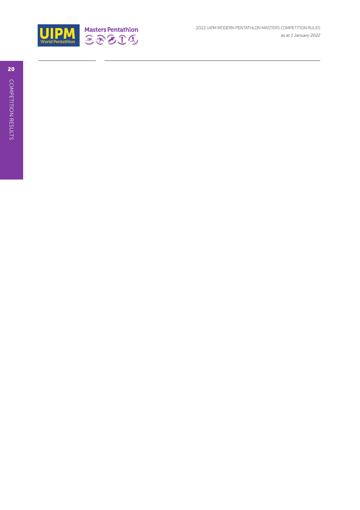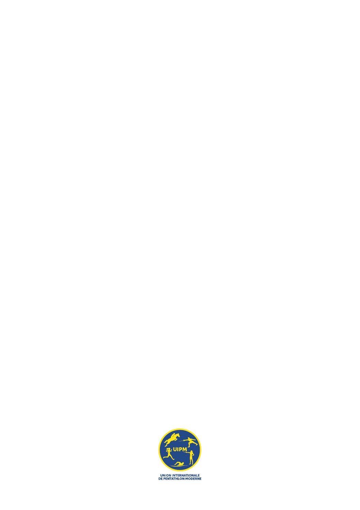